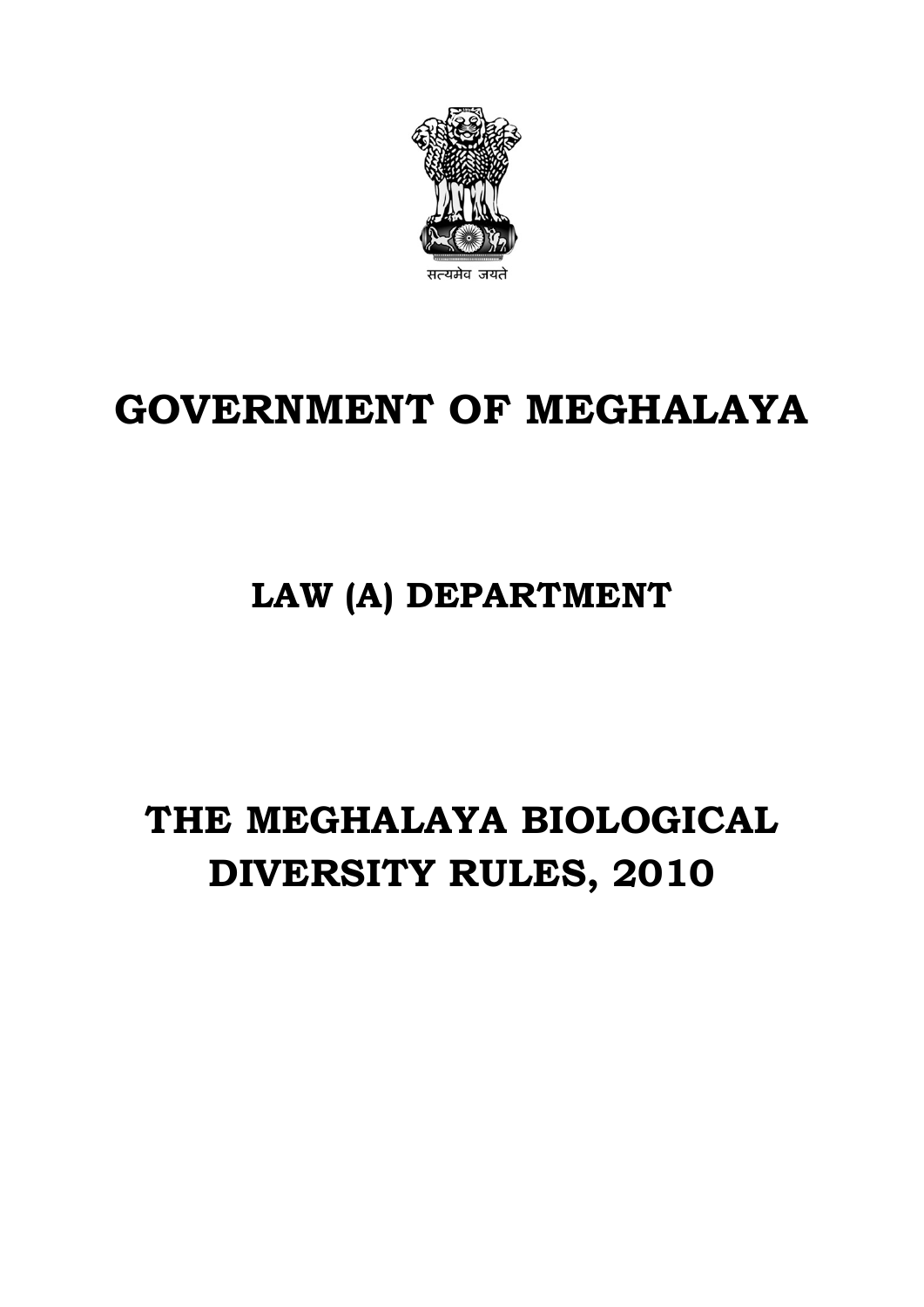

# **GOVERNMENT OF MEGHALAYA**

# **LAW (A) DEPARTMENT**

# **THE MEGHALAYA BIOLOGICAL DIVERSITY RULES, 2010**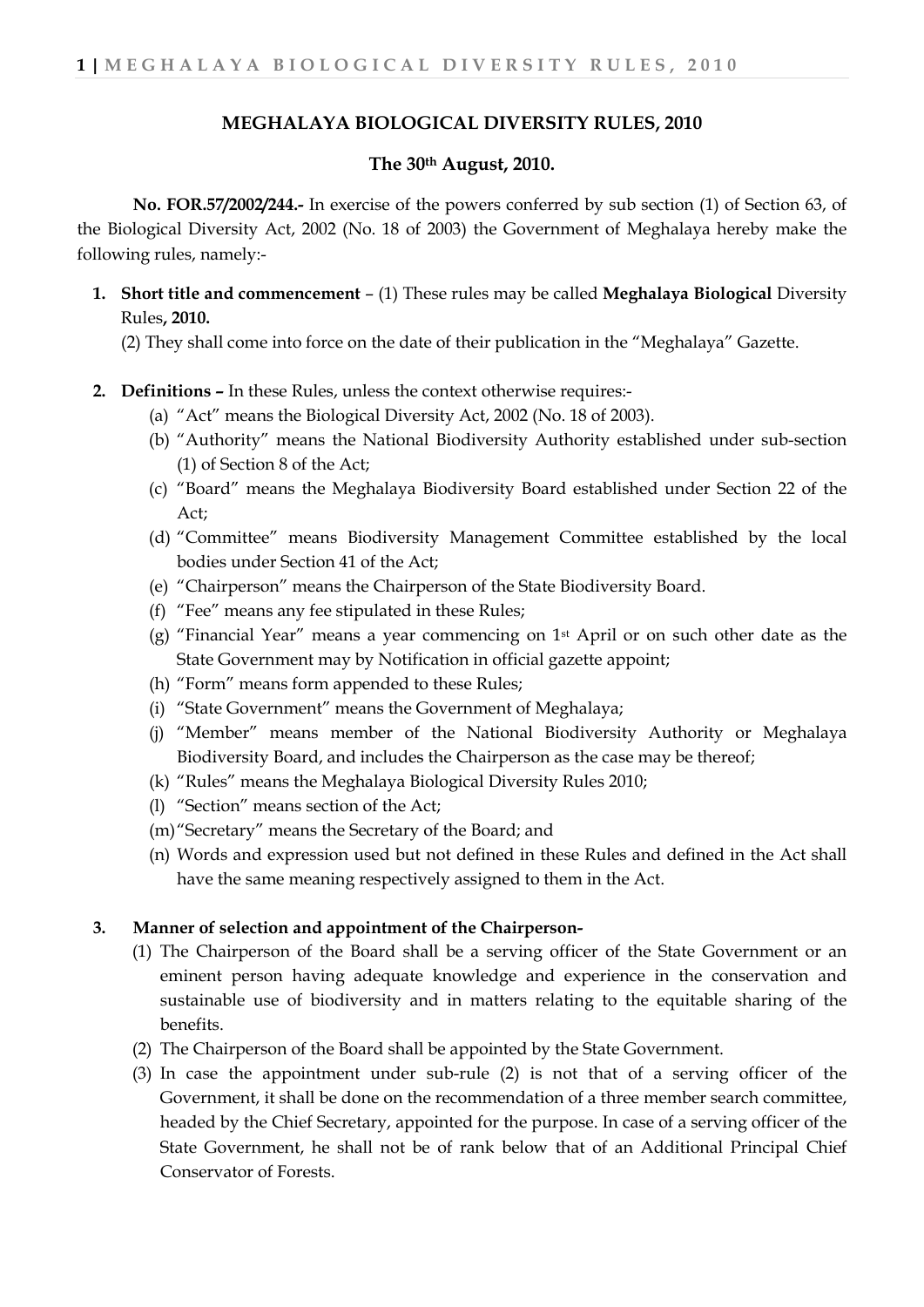## **MEGHALAYA BIOLOGICAL DIVERSITY RULES, 2010**

### **The 30th August, 2010.**

**No. FOR.57/2002/244.-** In exercise of the powers conferred by sub section (1) of Section 63, of the Biological Diversity Act, 2002 (No. 18 of 2003) the Government of Meghalaya hereby make the following rules, namely:-

**1. Short title and commencement** – (1) These rules may be called **Meghalaya Biological** Diversity Rules**, 2010.**

(2) They shall come into force on the date of their publication in the "Meghalaya" Gazette.

- **2. Definitions –** In these Rules, unless the context otherwise requires:-
	- (a) "Act" means the Biological Diversity Act, 2002 (No. 18 of 2003).
	- (b) "Authority" means the National Biodiversity Authority established under sub-section (1) of Section 8 of the Act;
	- (c) "Board" means the Meghalaya Biodiversity Board established under Section 22 of the Act;
	- (d) "Committee" means Biodiversity Management Committee established by the local bodies under Section 41 of the Act;
	- (e) "Chairperson" means the Chairperson of the State Biodiversity Board.
	- (f) "Fee" means any fee stipulated in these Rules;
	- (g) "Financial Year" means a year commencing on 1st April or on such other date as the State Government may by Notification in official gazette appoint;
	- (h) "Form" means form appended to these Rules;
	- (i) "State Government" means the Government of Meghalaya;
	- (j) "Member" means member of the National Biodiversity Authority or Meghalaya Biodiversity Board, and includes the Chairperson as the case may be thereof;
	- (k) "Rules" means the Meghalaya Biological Diversity Rules 2010;
	- (l) "Section" means section of the Act;
	- (m)"Secretary" means the Secretary of the Board; and
	- (n) Words and expression used but not defined in these Rules and defined in the Act shall have the same meaning respectively assigned to them in the Act.

#### **3. Manner of selection and appointment of the Chairperson-**

- (1) The Chairperson of the Board shall be a serving officer of the State Government or an eminent person having adequate knowledge and experience in the conservation and sustainable use of biodiversity and in matters relating to the equitable sharing of the benefits.
- (2) The Chairperson of the Board shall be appointed by the State Government.
- (3) In case the appointment under sub-rule (2) is not that of a serving officer of the Government, it shall be done on the recommendation of a three member search committee, headed by the Chief Secretary, appointed for the purpose. In case of a serving officer of the State Government, he shall not be of rank below that of an Additional Principal Chief Conservator of Forests.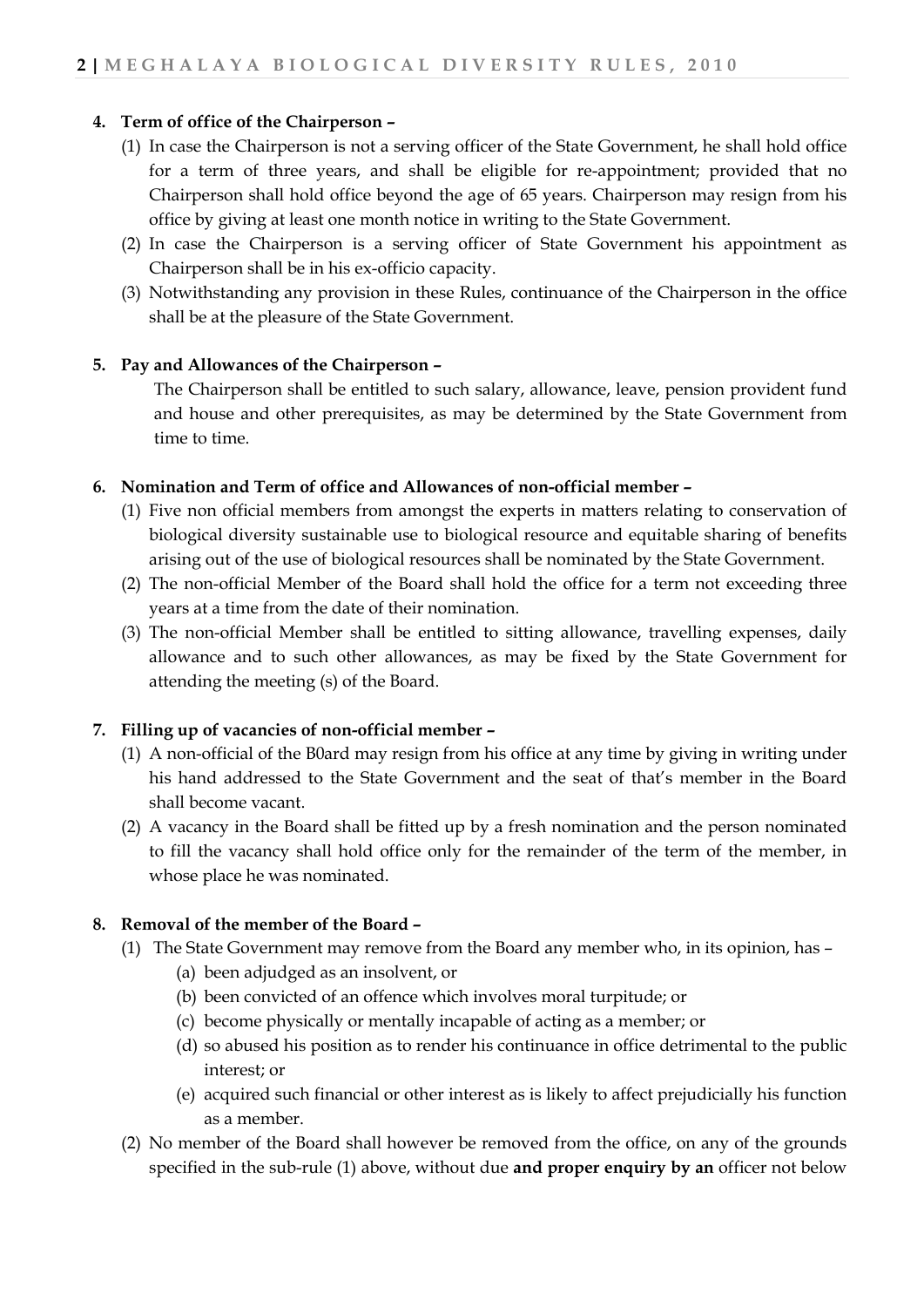## **4. Term of office of the Chairperson –**

- (1) In case the Chairperson is not a serving officer of the State Government, he shall hold office for a term of three years, and shall be eligible for re-appointment; provided that no Chairperson shall hold office beyond the age of 65 years. Chairperson may resign from his office by giving at least one month notice in writing to the State Government.
- (2) In case the Chairperson is a serving officer of State Government his appointment as Chairperson shall be in his ex-officio capacity.
- (3) Notwithstanding any provision in these Rules, continuance of the Chairperson in the office shall be at the pleasure of the State Government.

#### **5. Pay and Allowances of the Chairperson –**

The Chairperson shall be entitled to such salary, allowance, leave, pension provident fund and house and other prerequisites, as may be determined by the State Government from time to time.

## **6. Nomination and Term of office and Allowances of non-official member –**

- (1) Five non official members from amongst the experts in matters relating to conservation of biological diversity sustainable use to biological resource and equitable sharing of benefits arising out of the use of biological resources shall be nominated by the State Government.
- (2) The non-official Member of the Board shall hold the office for a term not exceeding three years at a time from the date of their nomination.
- (3) The non-official Member shall be entitled to sitting allowance, travelling expenses, daily allowance and to such other allowances, as may be fixed by the State Government for attending the meeting (s) of the Board.

## **7. Filling up of vacancies of non-official member –**

- (1) A non-official of the B0ard may resign from his office at any time by giving in writing under his hand addressed to the State Government and the seat of that's member in the Board shall become vacant.
- (2) A vacancy in the Board shall be fitted up by a fresh nomination and the person nominated to fill the vacancy shall hold office only for the remainder of the term of the member, in whose place he was nominated.

## **8. Removal of the member of the Board –**

- (1) The State Government may remove from the Board any member who, in its opinion, has
	- (a) been adjudged as an insolvent, or
	- (b) been convicted of an offence which involves moral turpitude; or
	- (c) become physically or mentally incapable of acting as a member; or
	- (d) so abused his position as to render his continuance in office detrimental to the public interest; or
	- (e) acquired such financial or other interest as is likely to affect prejudicially his function as a member.
- (2) No member of the Board shall however be removed from the office, on any of the grounds specified in the sub-rule (1) above, without due **and proper enquiry by an** officer not below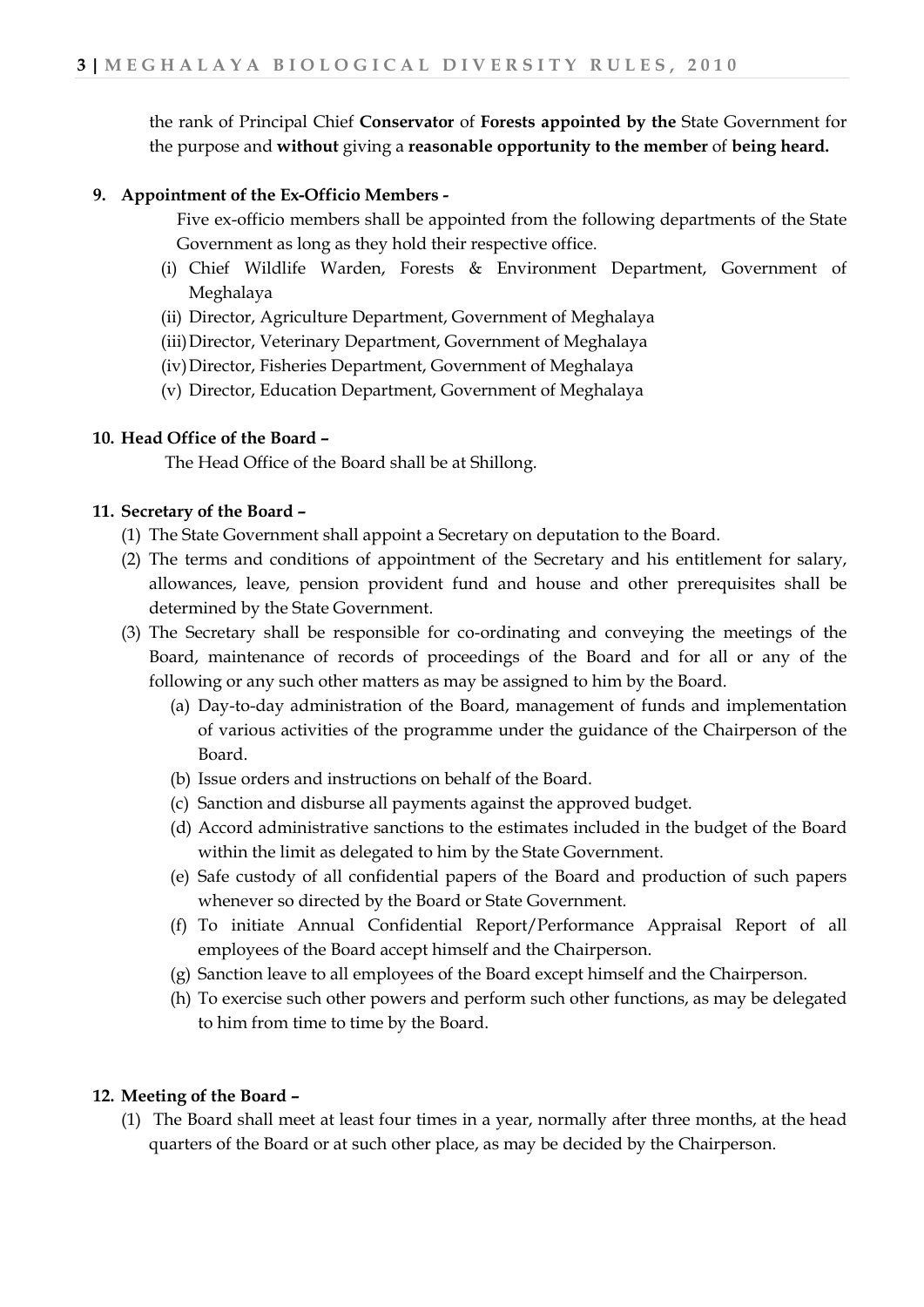the rank of Principal Chief **Conservator** of **Forests appointed by the** State Government for the purpose and **without** giving a **reasonable opportunity to the member** of **being heard.**

## **9. Appointment of the Ex-Officio Members -**

Five ex-officio members shall be appointed from the following departments of the State Government as long as they hold their respective office.

- (i) Chief Wildlife Warden, Forests & Environment Department, Government of Meghalaya
- (ii) Director, Agriculture Department, Government of Meghalaya
- (iii)Director, Veterinary Department, Government of Meghalaya
- (iv)Director, Fisheries Department, Government of Meghalaya
- (v) Director, Education Department, Government of Meghalaya

## **10. Head Office of the Board –**

The Head Office of the Board shall be at Shillong.

## **11. Secretary of the Board –**

- (1) The State Government shall appoint a Secretary on deputation to the Board.
- (2) The terms and conditions of appointment of the Secretary and his entitlement for salary, allowances, leave, pension provident fund and house and other prerequisites shall be determined by the State Government.
- (3) The Secretary shall be responsible for co-ordinating and conveying the meetings of the Board, maintenance of records of proceedings of the Board and for all or any of the following or any such other matters as may be assigned to him by the Board.
	- (a) Day-to-day administration of the Board, management of funds and implementation of various activities of the programme under the guidance of the Chairperson of the Board.
	- (b) Issue orders and instructions on behalf of the Board.
	- (c) Sanction and disburse all payments against the approved budget.
	- (d) Accord administrative sanctions to the estimates included in the budget of the Board within the limit as delegated to him by the State Government.
	- (e) Safe custody of all confidential papers of the Board and production of such papers whenever so directed by the Board or State Government.
	- (f) To initiate Annual Confidential Report/Performance Appraisal Report of all employees of the Board accept himself and the Chairperson.
	- (g) Sanction leave to all employees of the Board except himself and the Chairperson.
	- (h) To exercise such other powers and perform such other functions, as may be delegated to him from time to time by the Board.

#### **12. Meeting of the Board –**

(1) The Board shall meet at least four times in a year, normally after three months, at the head quarters of the Board or at such other place, as may be decided by the Chairperson.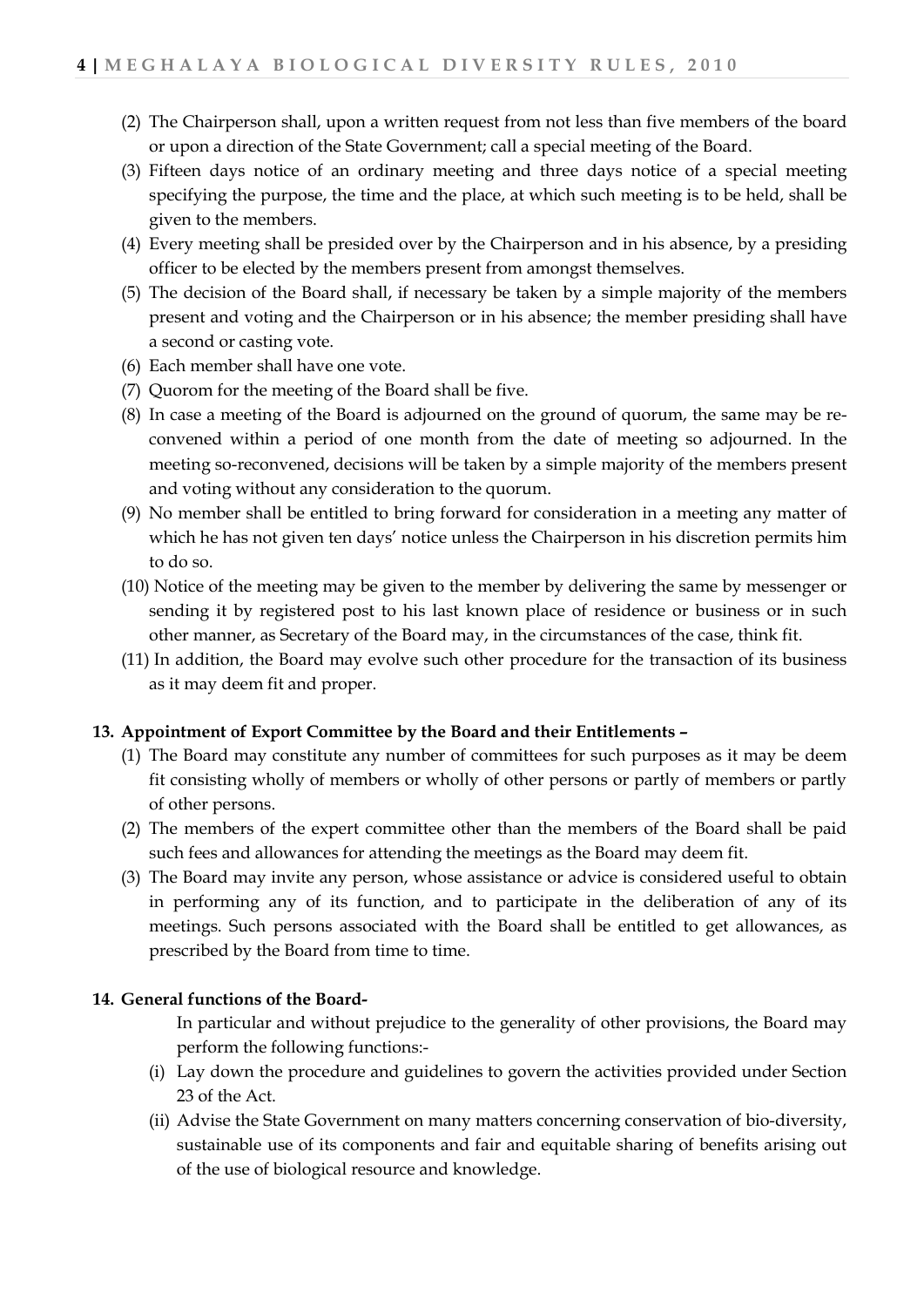- (2) The Chairperson shall, upon a written request from not less than five members of the board or upon a direction of the State Government; call a special meeting of the Board.
- (3) Fifteen days notice of an ordinary meeting and three days notice of a special meeting specifying the purpose, the time and the place, at which such meeting is to be held, shall be given to the members.
- (4) Every meeting shall be presided over by the Chairperson and in his absence, by a presiding officer to be elected by the members present from amongst themselves.
- (5) The decision of the Board shall, if necessary be taken by a simple majority of the members present and voting and the Chairperson or in his absence; the member presiding shall have a second or casting vote.
- (6) Each member shall have one vote.
- (7) Quorom for the meeting of the Board shall be five.
- (8) In case a meeting of the Board is adjourned on the ground of quorum, the same may be reconvened within a period of one month from the date of meeting so adjourned. In the meeting so-reconvened, decisions will be taken by a simple majority of the members present and voting without any consideration to the quorum.
- (9) No member shall be entitled to bring forward for consideration in a meeting any matter of which he has not given ten days' notice unless the Chairperson in his discretion permits him to do so.
- (10) Notice of the meeting may be given to the member by delivering the same by messenger or sending it by registered post to his last known place of residence or business or in such other manner, as Secretary of the Board may, in the circumstances of the case, think fit.
- (11) In addition, the Board may evolve such other procedure for the transaction of its business as it may deem fit and proper.

#### **13. Appointment of Export Committee by the Board and their Entitlements –**

- (1) The Board may constitute any number of committees for such purposes as it may be deem fit consisting wholly of members or wholly of other persons or partly of members or partly of other persons.
- (2) The members of the expert committee other than the members of the Board shall be paid such fees and allowances for attending the meetings as the Board may deem fit.
- (3) The Board may invite any person, whose assistance or advice is considered useful to obtain in performing any of its function, and to participate in the deliberation of any of its meetings. Such persons associated with the Board shall be entitled to get allowances, as prescribed by the Board from time to time.

#### **14. General functions of the Board-**

In particular and without prejudice to the generality of other provisions, the Board may perform the following functions:-

- (i) Lay down the procedure and guidelines to govern the activities provided under Section 23 of the Act.
- (ii) Advise the State Government on many matters concerning conservation of bio-diversity, sustainable use of its components and fair and equitable sharing of benefits arising out of the use of biological resource and knowledge.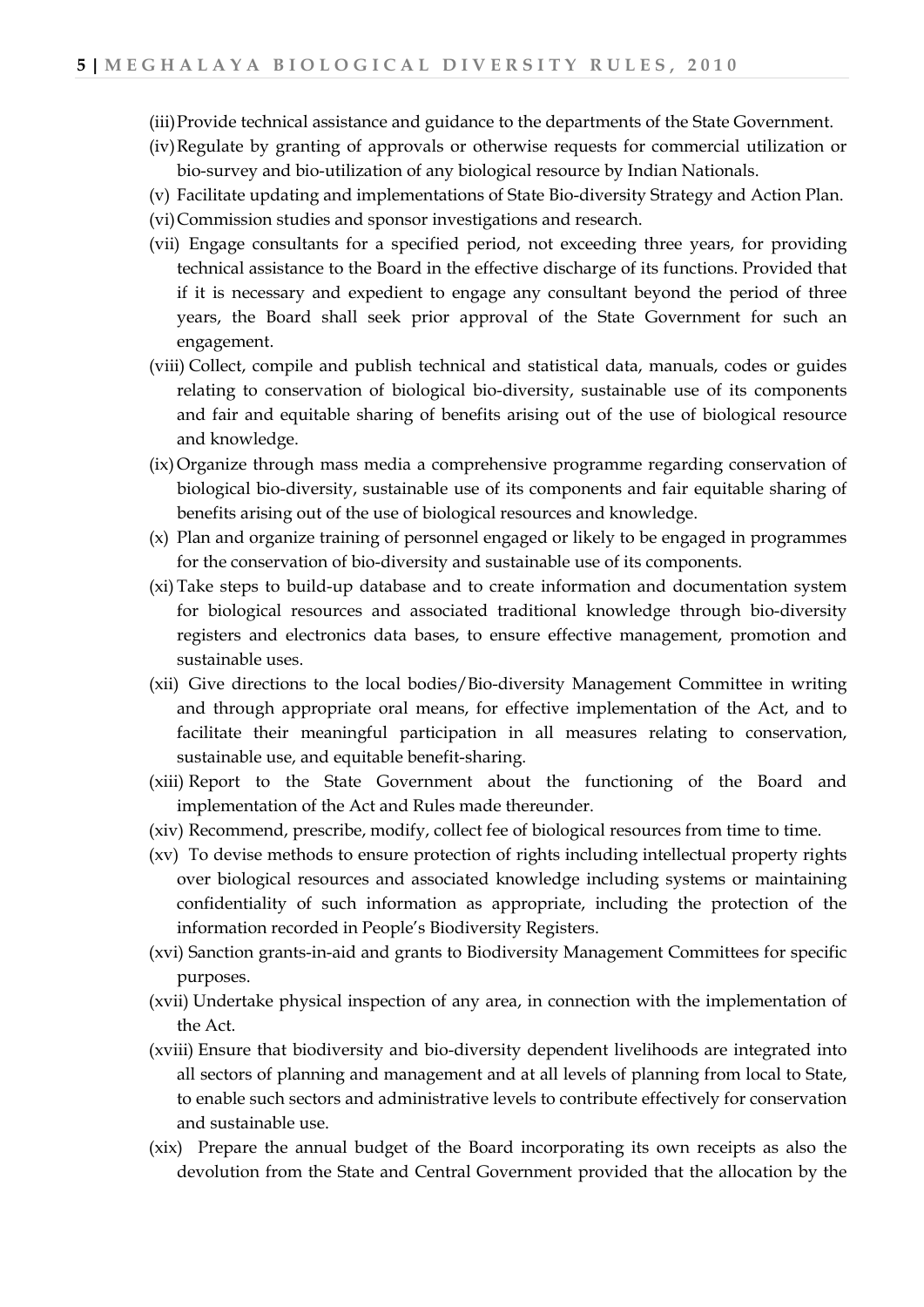- (iii)Provide technical assistance and guidance to the departments of the State Government.
- (iv)Regulate by granting of approvals or otherwise requests for commercial utilization or bio-survey and bio-utilization of any biological resource by Indian Nationals.
- (v) Facilitate updating and implementations of State Bio-diversity Strategy and Action Plan.
- (vi)Commission studies and sponsor investigations and research.
- (vii) Engage consultants for a specified period, not exceeding three years, for providing technical assistance to the Board in the effective discharge of its functions. Provided that if it is necessary and expedient to engage any consultant beyond the period of three years, the Board shall seek prior approval of the State Government for such an engagement.
- (viii) Collect, compile and publish technical and statistical data, manuals, codes or guides relating to conservation of biological bio-diversity, sustainable use of its components and fair and equitable sharing of benefits arising out of the use of biological resource and knowledge.
- (ix)Organize through mass media a comprehensive programme regarding conservation of biological bio-diversity, sustainable use of its components and fair equitable sharing of benefits arising out of the use of biological resources and knowledge.
- (x) Plan and organize training of personnel engaged or likely to be engaged in programmes for the conservation of bio-diversity and sustainable use of its components.
- (xi) Take steps to build-up database and to create information and documentation system for biological resources and associated traditional knowledge through bio-diversity registers and electronics data bases, to ensure effective management, promotion and sustainable uses.
- (xii) Give directions to the local bodies/Bio-diversity Management Committee in writing and through appropriate oral means, for effective implementation of the Act, and to facilitate their meaningful participation in all measures relating to conservation, sustainable use, and equitable benefit-sharing.
- (xiii) Report to the State Government about the functioning of the Board and implementation of the Act and Rules made thereunder.
- (xiv) Recommend, prescribe, modify, collect fee of biological resources from time to time.
- (xv) To devise methods to ensure protection of rights including intellectual property rights over biological resources and associated knowledge including systems or maintaining confidentiality of such information as appropriate, including the protection of the information recorded in People's Biodiversity Registers.
- (xvi) Sanction grants-in-aid and grants to Biodiversity Management Committees for specific purposes.
- (xvii) Undertake physical inspection of any area, in connection with the implementation of the Act.
- (xviii) Ensure that biodiversity and bio-diversity dependent livelihoods are integrated into all sectors of planning and management and at all levels of planning from local to State, to enable such sectors and administrative levels to contribute effectively for conservation and sustainable use.
- (xix) Prepare the annual budget of the Board incorporating its own receipts as also the devolution from the State and Central Government provided that the allocation by the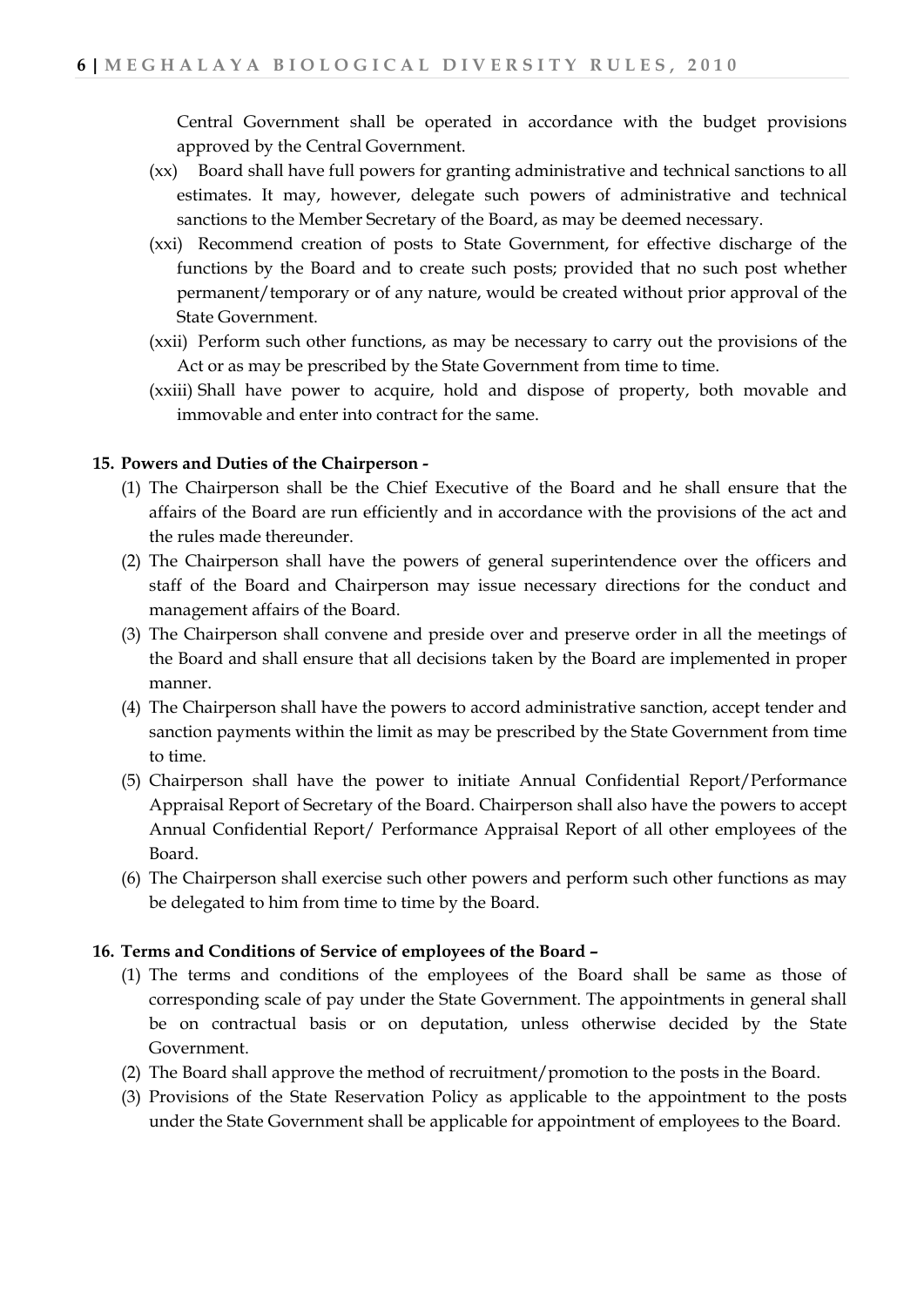Central Government shall be operated in accordance with the budget provisions approved by the Central Government.

- (xx) Board shall have full powers for granting administrative and technical sanctions to all estimates. It may, however, delegate such powers of administrative and technical sanctions to the Member Secretary of the Board, as may be deemed necessary.
- (xxi) Recommend creation of posts to State Government, for effective discharge of the functions by the Board and to create such posts; provided that no such post whether permanent/temporary or of any nature, would be created without prior approval of the State Government.
- (xxii) Perform such other functions, as may be necessary to carry out the provisions of the Act or as may be prescribed by the State Government from time to time.
- (xxiii) Shall have power to acquire, hold and dispose of property, both movable and immovable and enter into contract for the same.

#### **15. Powers and Duties of the Chairperson -**

- (1) The Chairperson shall be the Chief Executive of the Board and he shall ensure that the affairs of the Board are run efficiently and in accordance with the provisions of the act and the rules made thereunder.
- (2) The Chairperson shall have the powers of general superintendence over the officers and staff of the Board and Chairperson may issue necessary directions for the conduct and management affairs of the Board.
- (3) The Chairperson shall convene and preside over and preserve order in all the meetings of the Board and shall ensure that all decisions taken by the Board are implemented in proper manner.
- (4) The Chairperson shall have the powers to accord administrative sanction, accept tender and sanction payments within the limit as may be prescribed by the State Government from time to time.
- (5) Chairperson shall have the power to initiate Annual Confidential Report/Performance Appraisal Report of Secretary of the Board. Chairperson shall also have the powers to accept Annual Confidential Report/ Performance Appraisal Report of all other employees of the Board.
- (6) The Chairperson shall exercise such other powers and perform such other functions as may be delegated to him from time to time by the Board.

#### **16. Terms and Conditions of Service of employees of the Board –**

- (1) The terms and conditions of the employees of the Board shall be same as those of corresponding scale of pay under the State Government. The appointments in general shall be on contractual basis or on deputation, unless otherwise decided by the State Government.
- (2) The Board shall approve the method of recruitment/promotion to the posts in the Board.
- (3) Provisions of the State Reservation Policy as applicable to the appointment to the posts under the State Government shall be applicable for appointment of employees to the Board.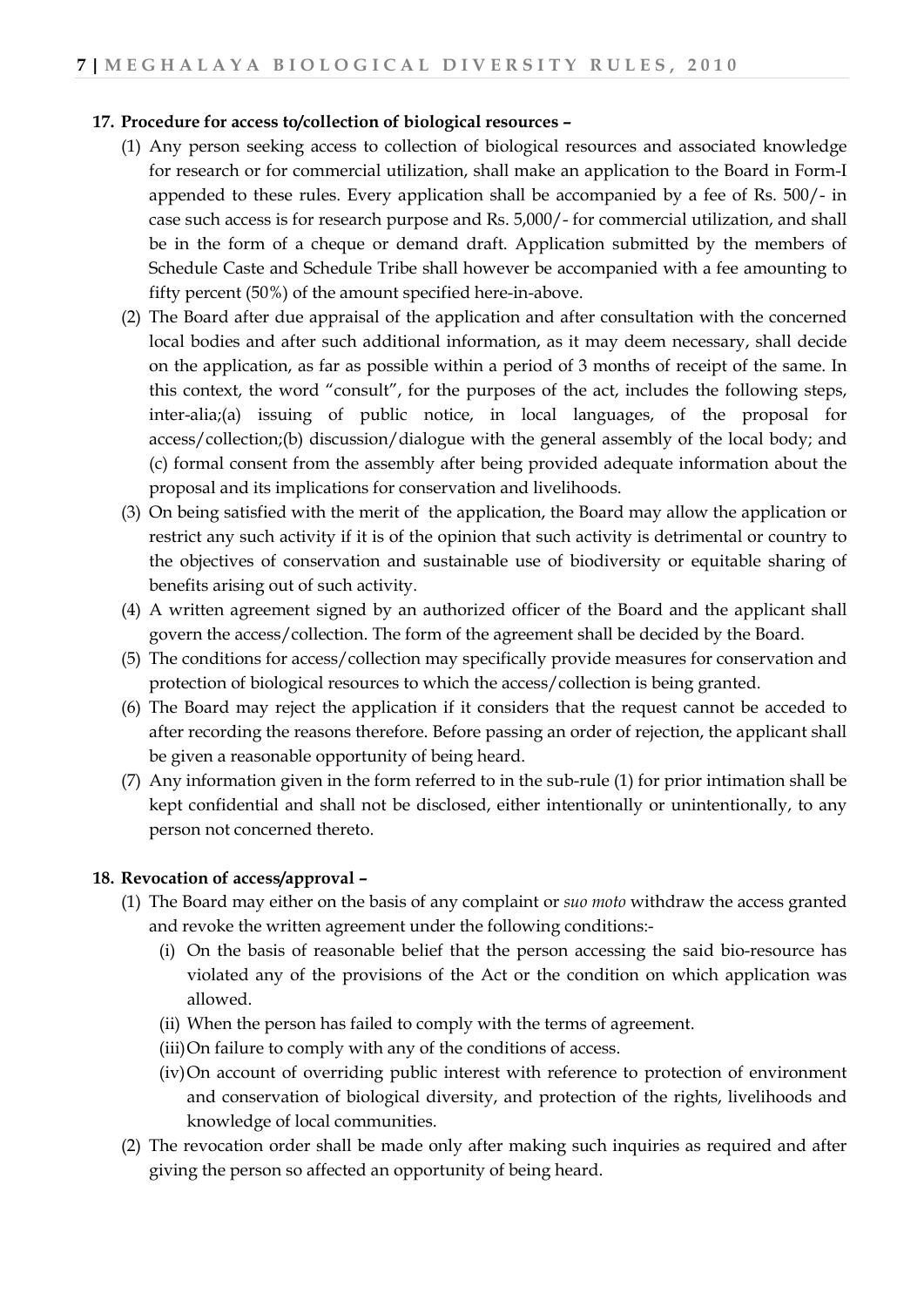## **17. Procedure for access to/collection of biological resources –**

- (1) Any person seeking access to collection of biological resources and associated knowledge for research or for commercial utilization, shall make an application to the Board in Form-I appended to these rules. Every application shall be accompanied by a fee of Rs. 500/- in case such access is for research purpose and Rs. 5,000/- for commercial utilization, and shall be in the form of a cheque or demand draft. Application submitted by the members of Schedule Caste and Schedule Tribe shall however be accompanied with a fee amounting to fifty percent (50%) of the amount specified here-in-above.
- (2) The Board after due appraisal of the application and after consultation with the concerned local bodies and after such additional information, as it may deem necessary, shall decide on the application, as far as possible within a period of 3 months of receipt of the same. In this context, the word "consult", for the purposes of the act, includes the following steps, inter-alia;(a) issuing of public notice, in local languages, of the proposal for access/collection;(b) discussion/dialogue with the general assembly of the local body; and (c) formal consent from the assembly after being provided adequate information about the proposal and its implications for conservation and livelihoods.
- (3) On being satisfied with the merit of the application, the Board may allow the application or restrict any such activity if it is of the opinion that such activity is detrimental or country to the objectives of conservation and sustainable use of biodiversity or equitable sharing of benefits arising out of such activity.
- (4) A written agreement signed by an authorized officer of the Board and the applicant shall govern the access/collection. The form of the agreement shall be decided by the Board.
- (5) The conditions for access/collection may specifically provide measures for conservation and protection of biological resources to which the access/collection is being granted.
- (6) The Board may reject the application if it considers that the request cannot be acceded to after recording the reasons therefore. Before passing an order of rejection, the applicant shall be given a reasonable opportunity of being heard.
- (7) Any information given in the form referred to in the sub-rule (1) for prior intimation shall be kept confidential and shall not be disclosed, either intentionally or unintentionally, to any person not concerned thereto.

#### **18. Revocation of access/approval –**

- (1) The Board may either on the basis of any complaint or *suo moto* withdraw the access granted and revoke the written agreement under the following conditions:-
	- (i) On the basis of reasonable belief that the person accessing the said bio-resource has violated any of the provisions of the Act or the condition on which application was allowed.
	- (ii) When the person has failed to comply with the terms of agreement.
	- (iii)On failure to comply with any of the conditions of access.
	- (iv)On account of overriding public interest with reference to protection of environment and conservation of biological diversity, and protection of the rights, livelihoods and knowledge of local communities.
- (2) The revocation order shall be made only after making such inquiries as required and after giving the person so affected an opportunity of being heard.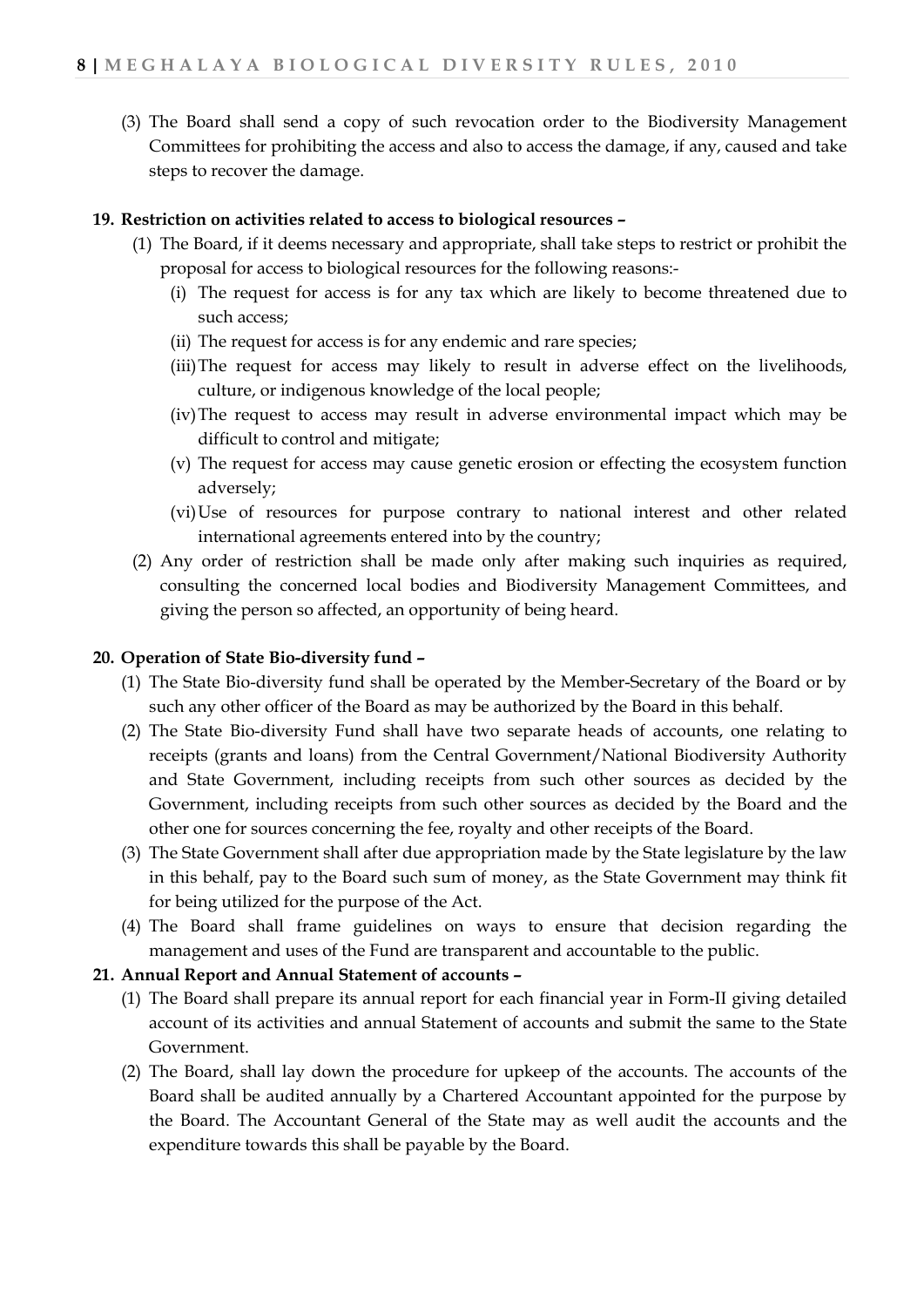(3) The Board shall send a copy of such revocation order to the Biodiversity Management Committees for prohibiting the access and also to access the damage, if any, caused and take steps to recover the damage.

## **19. Restriction on activities related to access to biological resources –**

- (1) The Board, if it deems necessary and appropriate, shall take steps to restrict or prohibit the proposal for access to biological resources for the following reasons:-
	- (i) The request for access is for any tax which are likely to become threatened due to such access;
	- (ii) The request for access is for any endemic and rare species;
	- (iii)The request for access may likely to result in adverse effect on the livelihoods, culture, or indigenous knowledge of the local people;
	- (iv)The request to access may result in adverse environmental impact which may be difficult to control and mitigate;
	- (v) The request for access may cause genetic erosion or effecting the ecosystem function adversely;
	- (vi)Use of resources for purpose contrary to national interest and other related international agreements entered into by the country;
- (2) Any order of restriction shall be made only after making such inquiries as required, consulting the concerned local bodies and Biodiversity Management Committees, and giving the person so affected, an opportunity of being heard.

## **20. Operation of State Bio-diversity fund –**

- (1) The State Bio-diversity fund shall be operated by the Member-Secretary of the Board or by such any other officer of the Board as may be authorized by the Board in this behalf.
- (2) The State Bio-diversity Fund shall have two separate heads of accounts, one relating to receipts (grants and loans) from the Central Government/National Biodiversity Authority and State Government, including receipts from such other sources as decided by the Government, including receipts from such other sources as decided by the Board and the other one for sources concerning the fee, royalty and other receipts of the Board.
- (3) The State Government shall after due appropriation made by the State legislature by the law in this behalf, pay to the Board such sum of money, as the State Government may think fit for being utilized for the purpose of the Act.
- (4) The Board shall frame guidelines on ways to ensure that decision regarding the management and uses of the Fund are transparent and accountable to the public.

## **21. Annual Report and Annual Statement of accounts –**

- (1) The Board shall prepare its annual report for each financial year in Form-II giving detailed account of its activities and annual Statement of accounts and submit the same to the State Government.
- (2) The Board, shall lay down the procedure for upkeep of the accounts. The accounts of the Board shall be audited annually by a Chartered Accountant appointed for the purpose by the Board. The Accountant General of the State may as well audit the accounts and the expenditure towards this shall be payable by the Board.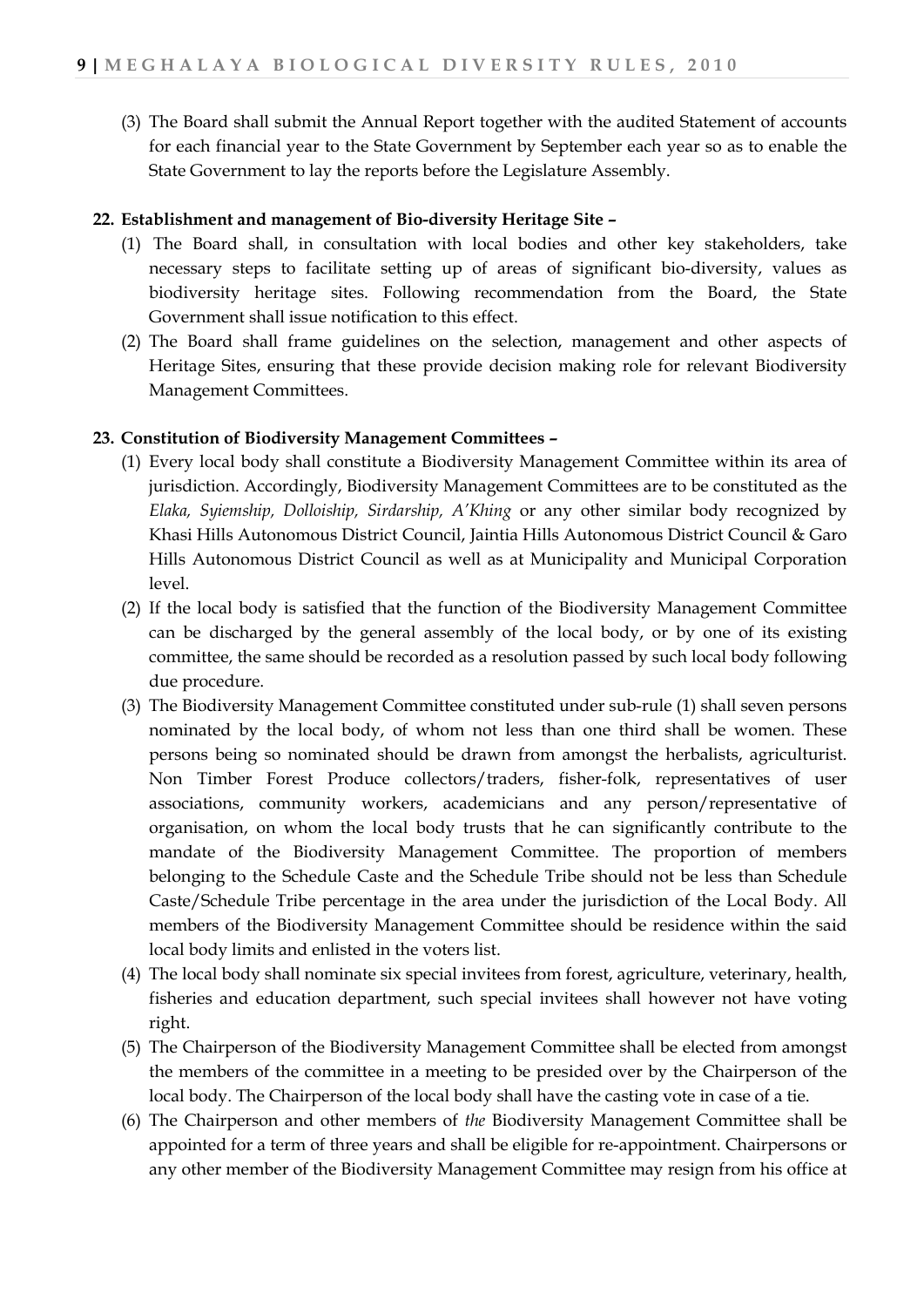(3) The Board shall submit the Annual Report together with the audited Statement of accounts for each financial year to the State Government by September each year so as to enable the State Government to lay the reports before the Legislature Assembly.

## **22. Establishment and management of Bio-diversity Heritage Site –**

- (1) The Board shall, in consultation with local bodies and other key stakeholders, take necessary steps to facilitate setting up of areas of significant bio-diversity, values as biodiversity heritage sites. Following recommendation from the Board, the State Government shall issue notification to this effect.
- (2) The Board shall frame guidelines on the selection, management and other aspects of Heritage Sites, ensuring that these provide decision making role for relevant Biodiversity Management Committees.

## **23. Constitution of Biodiversity Management Committees –**

- (1) Every local body shall constitute a Biodiversity Management Committee within its area of jurisdiction. Accordingly, Biodiversity Management Committees are to be constituted as the *Elaka, Syiemship, Dolloiship, Sirdarship, A'Khing* or any other similar body recognized by Khasi Hills Autonomous District Council, Jaintia Hills Autonomous District Council & Garo Hills Autonomous District Council as well as at Municipality and Municipal Corporation level.
- (2) If the local body is satisfied that the function of the Biodiversity Management Committee can be discharged by the general assembly of the local body, or by one of its existing committee, the same should be recorded as a resolution passed by such local body following due procedure.
- (3) The Biodiversity Management Committee constituted under sub-rule (1) shall seven persons nominated by the local body, of whom not less than one third shall be women. These persons being so nominated should be drawn from amongst the herbalists, agriculturist. Non Timber Forest Produce collectors/traders, fisher-folk, representatives of user associations, community workers, academicians and any person/representative of organisation, on whom the local body trusts that he can significantly contribute to the mandate of the Biodiversity Management Committee. The proportion of members belonging to the Schedule Caste and the Schedule Tribe should not be less than Schedule Caste/Schedule Tribe percentage in the area under the jurisdiction of the Local Body. All members of the Biodiversity Management Committee should be residence within the said local body limits and enlisted in the voters list.
- (4) The local body shall nominate six special invitees from forest, agriculture, veterinary, health, fisheries and education department, such special invitees shall however not have voting right.
- (5) The Chairperson of the Biodiversity Management Committee shall be elected from amongst the members of the committee in a meeting to be presided over by the Chairperson of the local body. The Chairperson of the local body shall have the casting vote in case of a tie.
- (6) The Chairperson and other members of *the* Biodiversity Management Committee shall be appointed for a term of three years and shall be eligible for re-appointment. Chairpersons or any other member of the Biodiversity Management Committee may resign from his office at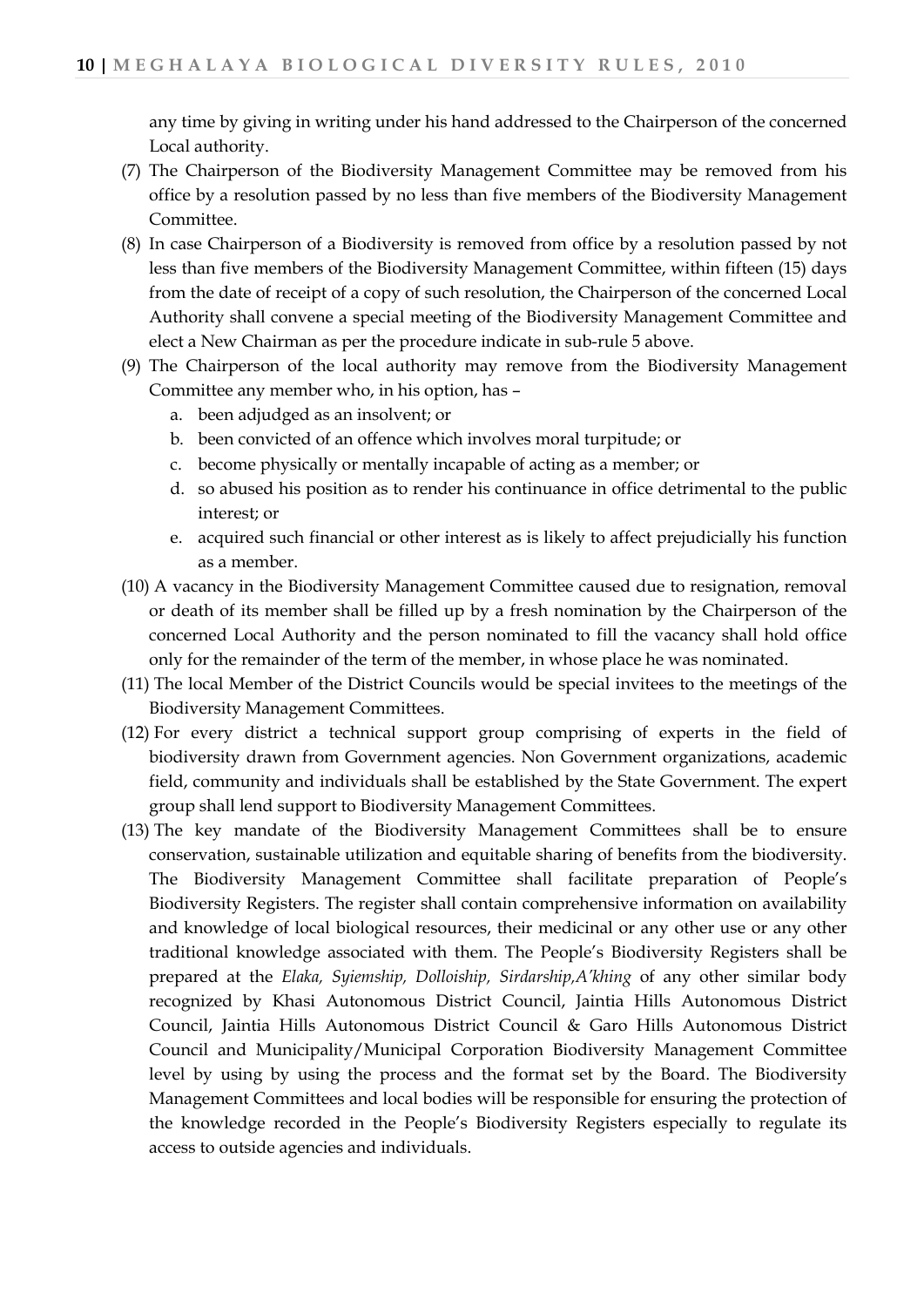any time by giving in writing under his hand addressed to the Chairperson of the concerned Local authority.

- (7) The Chairperson of the Biodiversity Management Committee may be removed from his office by a resolution passed by no less than five members of the Biodiversity Management Committee.
- (8) In case Chairperson of a Biodiversity is removed from office by a resolution passed by not less than five members of the Biodiversity Management Committee, within fifteen (15) days from the date of receipt of a copy of such resolution, the Chairperson of the concerned Local Authority shall convene a special meeting of the Biodiversity Management Committee and elect a New Chairman as per the procedure indicate in sub-rule 5 above.
- (9) The Chairperson of the local authority may remove from the Biodiversity Management Committee any member who, in his option, has –
	- a. been adjudged as an insolvent; or
	- b. been convicted of an offence which involves moral turpitude; or
	- c. become physically or mentally incapable of acting as a member; or
	- d. so abused his position as to render his continuance in office detrimental to the public interest; or
	- e. acquired such financial or other interest as is likely to affect prejudicially his function as a member.
- (10) A vacancy in the Biodiversity Management Committee caused due to resignation, removal or death of its member shall be filled up by a fresh nomination by the Chairperson of the concerned Local Authority and the person nominated to fill the vacancy shall hold office only for the remainder of the term of the member, in whose place he was nominated.
- (11) The local Member of the District Councils would be special invitees to the meetings of the Biodiversity Management Committees.
- (12) For every district a technical support group comprising of experts in the field of biodiversity drawn from Government agencies. Non Government organizations, academic field, community and individuals shall be established by the State Government. The expert group shall lend support to Biodiversity Management Committees.
- (13) The key mandate of the Biodiversity Management Committees shall be to ensure conservation, sustainable utilization and equitable sharing of benefits from the biodiversity. The Biodiversity Management Committee shall facilitate preparation of People's Biodiversity Registers. The register shall contain comprehensive information on availability and knowledge of local biological resources, their medicinal or any other use or any other traditional knowledge associated with them. The People's Biodiversity Registers shall be prepared at the *Elaka, Syiemship, Dolloiship, Sirdarship,A'khing* of any other similar body recognized by Khasi Autonomous District Council, Jaintia Hills Autonomous District Council, Jaintia Hills Autonomous District Council & Garo Hills Autonomous District Council and Municipality/Municipal Corporation Biodiversity Management Committee level by using by using the process and the format set by the Board. The Biodiversity Management Committees and local bodies will be responsible for ensuring the protection of the knowledge recorded in the People's Biodiversity Registers especially to regulate its access to outside agencies and individuals.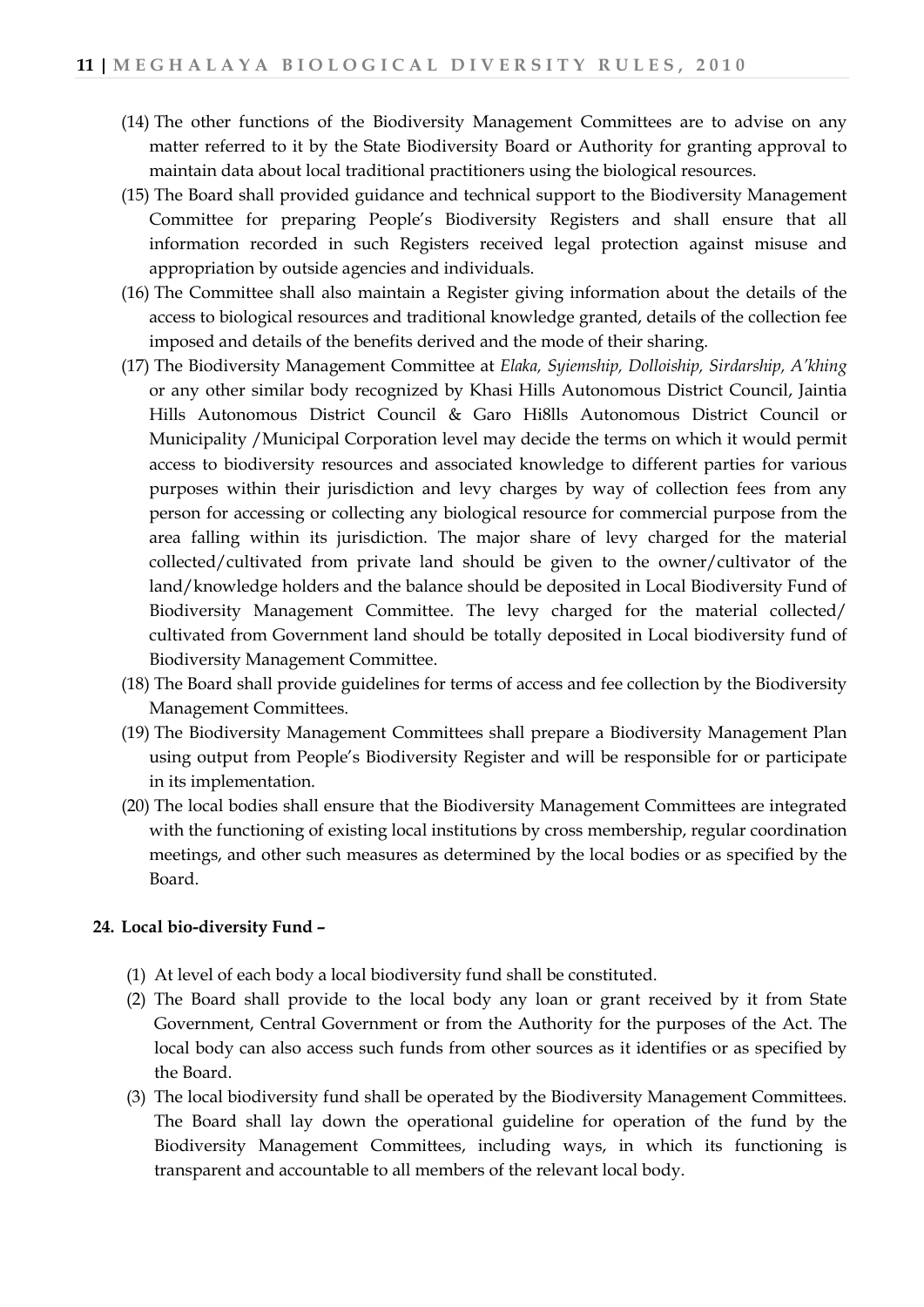- (14) The other functions of the Biodiversity Management Committees are to advise on any matter referred to it by the State Biodiversity Board or Authority for granting approval to maintain data about local traditional practitioners using the biological resources.
- (15) The Board shall provided guidance and technical support to the Biodiversity Management Committee for preparing People's Biodiversity Registers and shall ensure that all information recorded in such Registers received legal protection against misuse and appropriation by outside agencies and individuals.
- (16) The Committee shall also maintain a Register giving information about the details of the access to biological resources and traditional knowledge granted, details of the collection fee imposed and details of the benefits derived and the mode of their sharing.
- (17) The Biodiversity Management Committee at *Elaka, Syiemship, Dolloiship, Sirdarship, A'khing* or any other similar body recognized by Khasi Hills Autonomous District Council, Jaintia Hills Autonomous District Council & Garo Hi8lls Autonomous District Council or Municipality /Municipal Corporation level may decide the terms on which it would permit access to biodiversity resources and associated knowledge to different parties for various purposes within their jurisdiction and levy charges by way of collection fees from any person for accessing or collecting any biological resource for commercial purpose from the area falling within its jurisdiction. The major share of levy charged for the material collected/cultivated from private land should be given to the owner/cultivator of the land/knowledge holders and the balance should be deposited in Local Biodiversity Fund of Biodiversity Management Committee. The levy charged for the material collected/ cultivated from Government land should be totally deposited in Local biodiversity fund of Biodiversity Management Committee.
- (18) The Board shall provide guidelines for terms of access and fee collection by the Biodiversity Management Committees.
- (19) The Biodiversity Management Committees shall prepare a Biodiversity Management Plan using output from People's Biodiversity Register and will be responsible for or participate in its implementation.
- (20) The local bodies shall ensure that the Biodiversity Management Committees are integrated with the functioning of existing local institutions by cross membership, regular coordination meetings, and other such measures as determined by the local bodies or as specified by the Board.

#### **24. Local bio-diversity Fund –**

- (1) At level of each body a local biodiversity fund shall be constituted.
- (2) The Board shall provide to the local body any loan or grant received by it from State Government, Central Government or from the Authority for the purposes of the Act. The local body can also access such funds from other sources as it identifies or as specified by the Board.
- (3) The local biodiversity fund shall be operated by the Biodiversity Management Committees. The Board shall lay down the operational guideline for operation of the fund by the Biodiversity Management Committees, including ways, in which its functioning is transparent and accountable to all members of the relevant local body.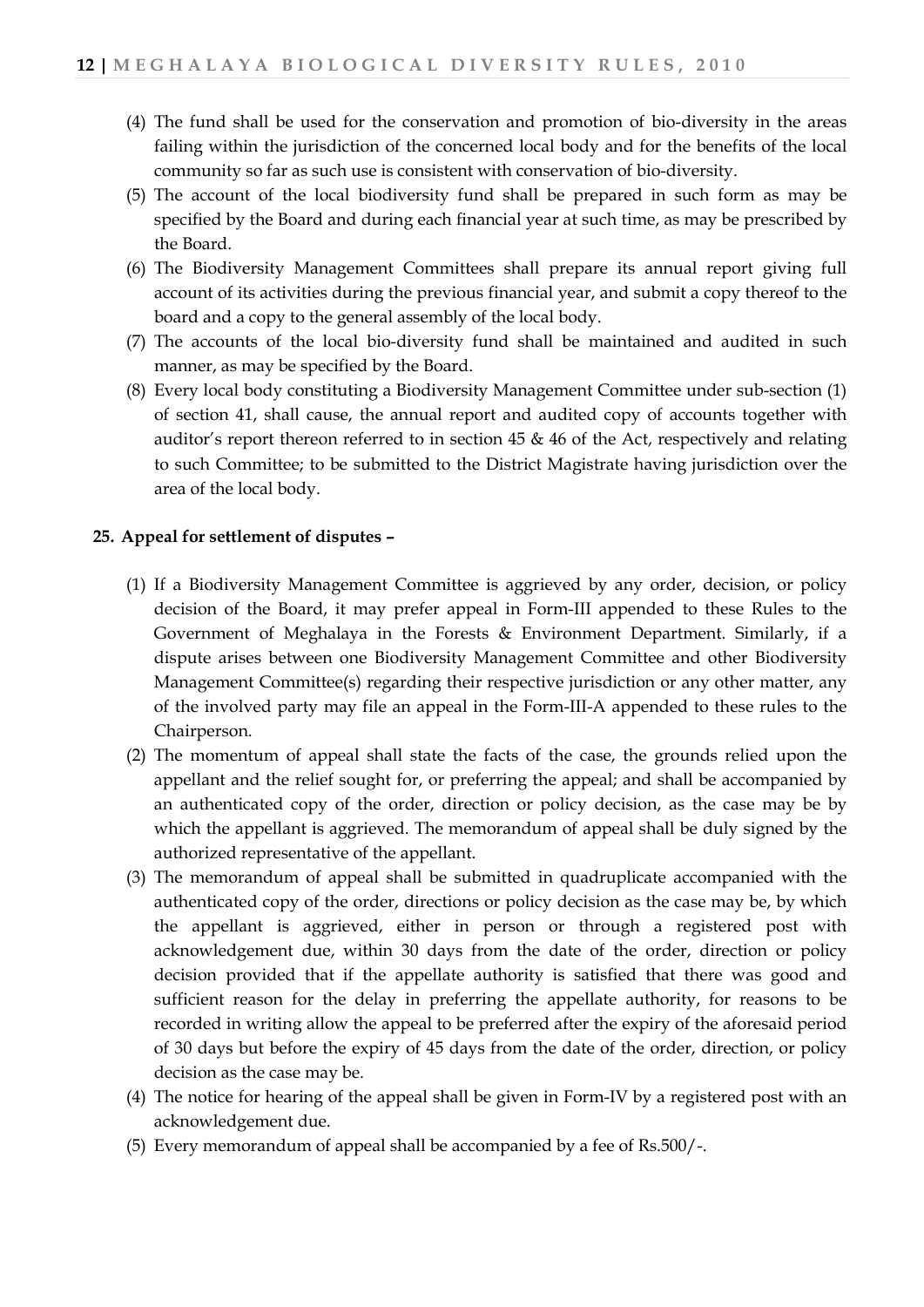- (4) The fund shall be used for the conservation and promotion of bio-diversity in the areas failing within the jurisdiction of the concerned local body and for the benefits of the local community so far as such use is consistent with conservation of bio-diversity.
- (5) The account of the local biodiversity fund shall be prepared in such form as may be specified by the Board and during each financial year at such time, as may be prescribed by the Board.
- (6) The Biodiversity Management Committees shall prepare its annual report giving full account of its activities during the previous financial year, and submit a copy thereof to the board and a copy to the general assembly of the local body.
- (7) The accounts of the local bio-diversity fund shall be maintained and audited in such manner, as may be specified by the Board.
- (8) Every local body constituting a Biodiversity Management Committee under sub-section (1) of section 41, shall cause, the annual report and audited copy of accounts together with auditor's report thereon referred to in section 45 & 46 of the Act, respectively and relating to such Committee; to be submitted to the District Magistrate having jurisdiction over the area of the local body.

## **25. Appeal for settlement of disputes –**

- (1) If a Biodiversity Management Committee is aggrieved by any order, decision, or policy decision of the Board, it may prefer appeal in Form-III appended to these Rules to the Government of Meghalaya in the Forests & Environment Department. Similarly, if a dispute arises between one Biodiversity Management Committee and other Biodiversity Management Committee(s) regarding their respective jurisdiction or any other matter, any of the involved party may file an appeal in the Form-III-A appended to these rules to the Chairperson.
- (2) The momentum of appeal shall state the facts of the case, the grounds relied upon the appellant and the relief sought for, or preferring the appeal; and shall be accompanied by an authenticated copy of the order, direction or policy decision, as the case may be by which the appellant is aggrieved. The memorandum of appeal shall be duly signed by the authorized representative of the appellant.
- (3) The memorandum of appeal shall be submitted in quadruplicate accompanied with the authenticated copy of the order, directions or policy decision as the case may be, by which the appellant is aggrieved, either in person or through a registered post with acknowledgement due, within 30 days from the date of the order, direction or policy decision provided that if the appellate authority is satisfied that there was good and sufficient reason for the delay in preferring the appellate authority, for reasons to be recorded in writing allow the appeal to be preferred after the expiry of the aforesaid period of 30 days but before the expiry of 45 days from the date of the order, direction, or policy decision as the case may be.
- (4) The notice for hearing of the appeal shall be given in Form-IV by a registered post with an acknowledgement due.
- (5) Every memorandum of appeal shall be accompanied by a fee of Rs.500/-.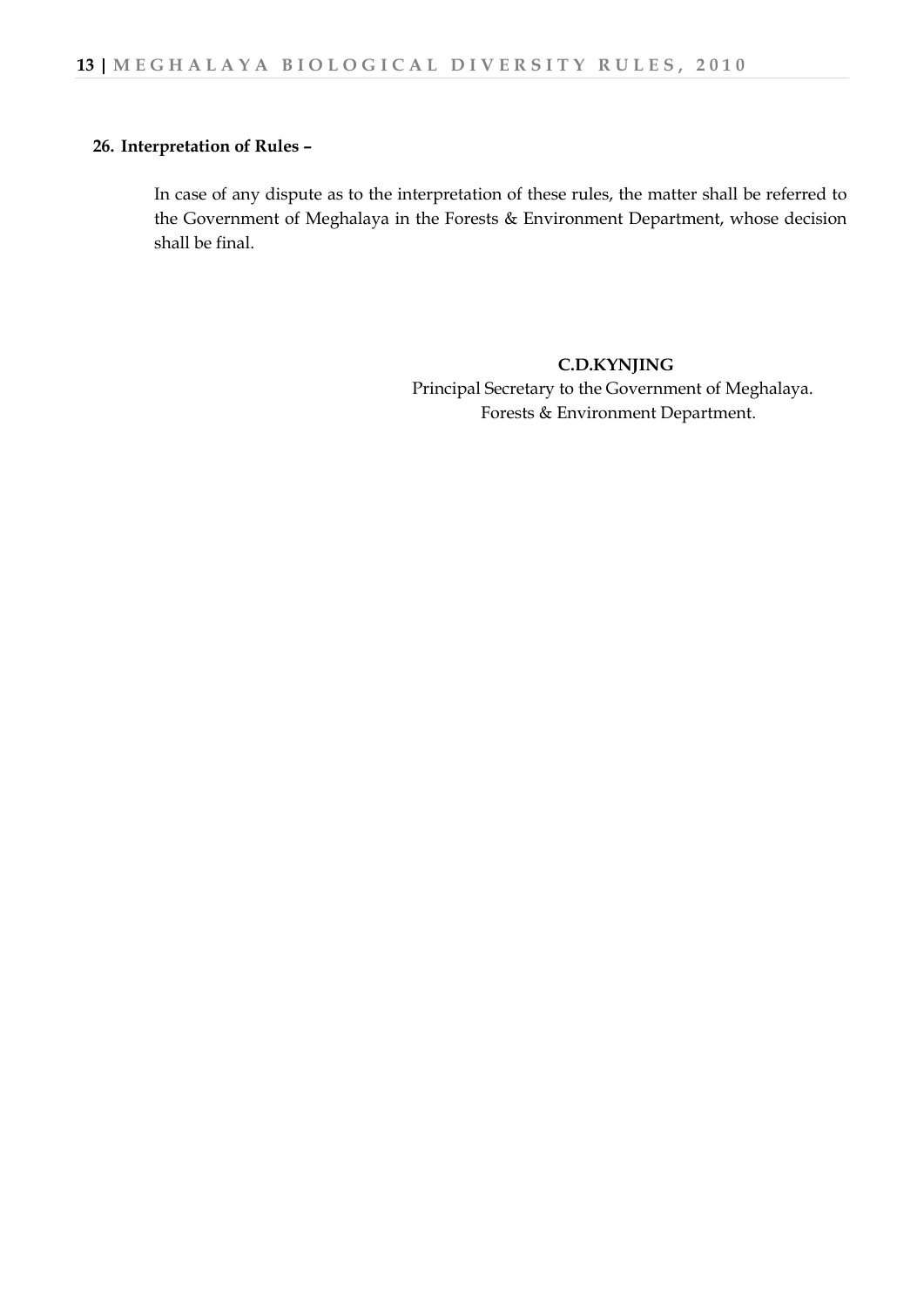#### **26. Interpretation of Rules –**

In case of any dispute as to the interpretation of these rules, the matter shall be referred to the Government of Meghalaya in the Forests & Environment Department, whose decision shall be final.

> **C.D.KYNJING** Principal Secretary to the Government of Meghalaya. Forests & Environment Department.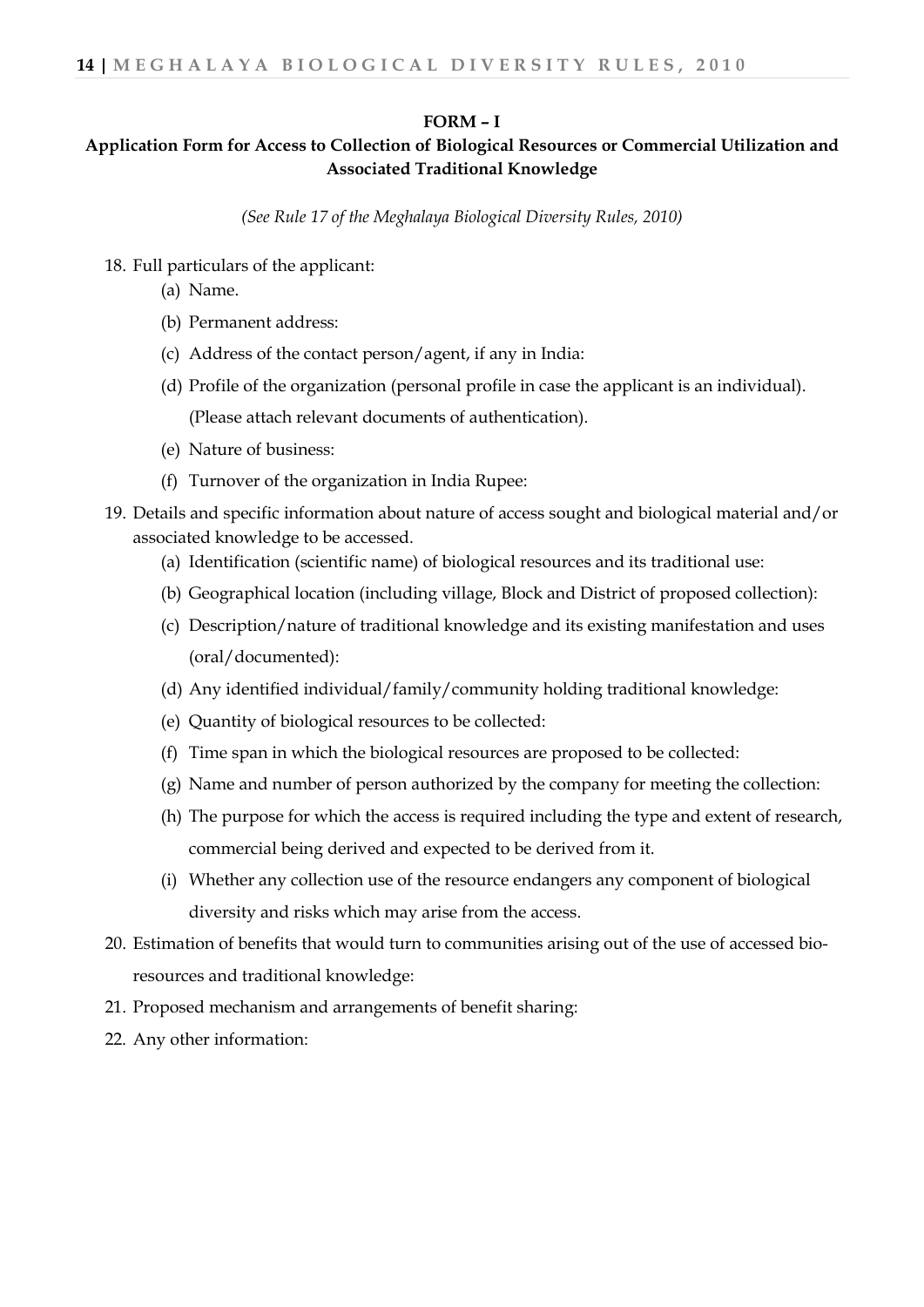#### **FORM – I**

## **Application Form for Access to Collection of Biological Resources or Commercial Utilization and Associated Traditional Knowledge**

*(See Rule 17 of the Meghalaya Biological Diversity Rules, 2010)*

- 18. Full particulars of the applicant:
	- (a) Name.
	- (b) Permanent address:
	- (c) Address of the contact person/agent, if any in India:
	- (d) Profile of the organization (personal profile in case the applicant is an individual).

(Please attach relevant documents of authentication).

- (e) Nature of business:
- (f) Turnover of the organization in India Rupee:
- 19. Details and specific information about nature of access sought and biological material and/or associated knowledge to be accessed.
	- (a) Identification (scientific name) of biological resources and its traditional use:
	- (b) Geographical location (including village, Block and District of proposed collection):
	- (c) Description/nature of traditional knowledge and its existing manifestation and uses (oral/documented):
	- (d) Any identified individual/family/community holding traditional knowledge:
	- (e) Quantity of biological resources to be collected:
	- (f) Time span in which the biological resources are proposed to be collected:
	- (g) Name and number of person authorized by the company for meeting the collection:
	- (h) The purpose for which the access is required including the type and extent of research, commercial being derived and expected to be derived from it.
	- (i) Whether any collection use of the resource endangers any component of biological diversity and risks which may arise from the access.
- 20. Estimation of benefits that would turn to communities arising out of the use of accessed bioresources and traditional knowledge:
- 21. Proposed mechanism and arrangements of benefit sharing:
- 22. Any other information: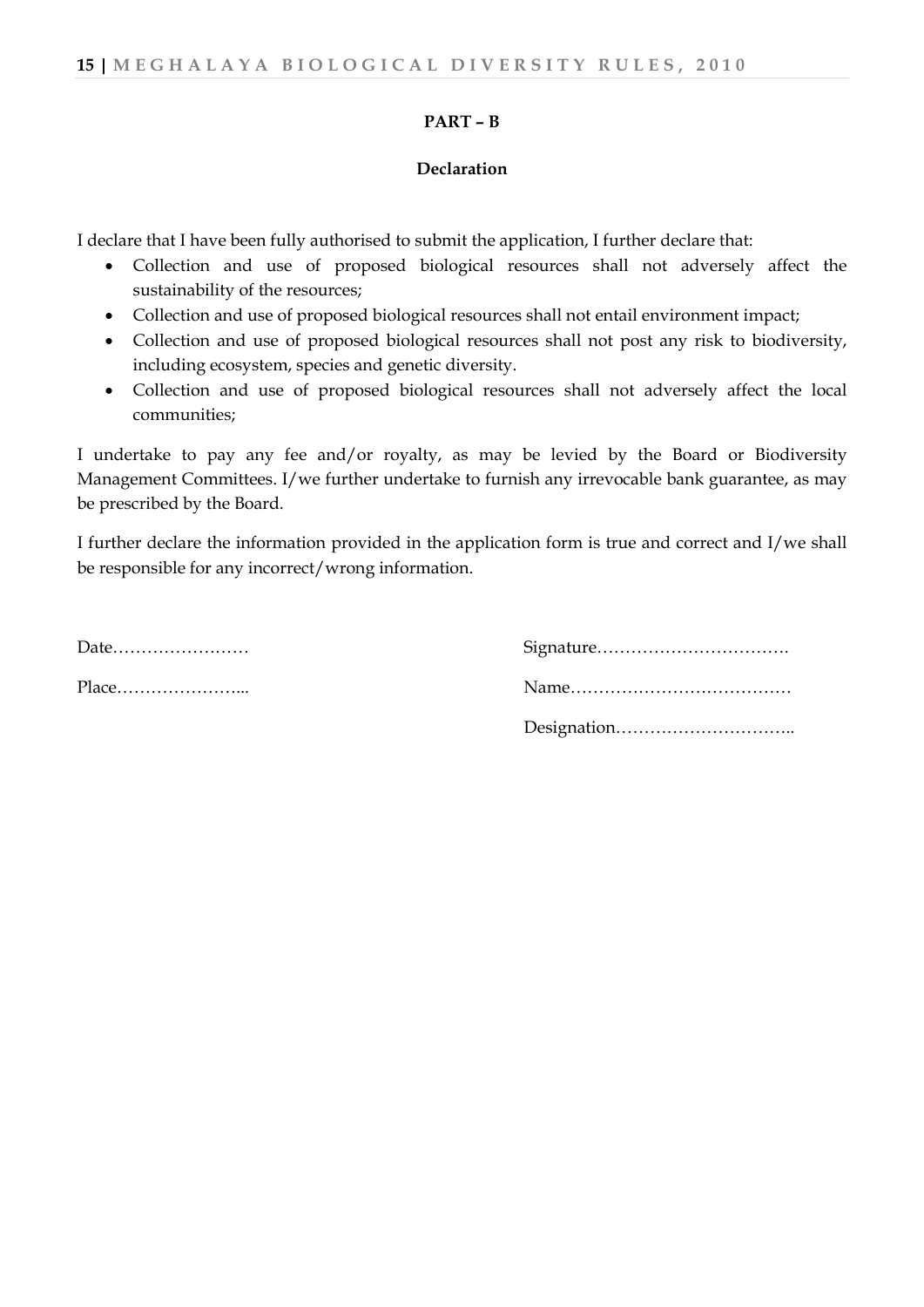#### **PART – B**

#### **Declaration**

I declare that I have been fully authorised to submit the application, I further declare that:

- Collection and use of proposed biological resources shall not adversely affect the sustainability of the resources;
- Collection and use of proposed biological resources shall not entail environment impact;
- Collection and use of proposed biological resources shall not post any risk to biodiversity, including ecosystem, species and genetic diversity.
- Collection and use of proposed biological resources shall not adversely affect the local communities;

I undertake to pay any fee and/or royalty, as may be levied by the Board or Biodiversity Management Committees. I/we further undertake to furnish any irrevocable bank guarantee, as may be prescribed by the Board.

I further declare the information provided in the application form is true and correct and I/we shall be responsible for any incorrect/wrong information.

| Date |  |  |  |  |  |  |  |  |  |  |
|------|--|--|--|--|--|--|--|--|--|--|
|      |  |  |  |  |  |  |  |  |  |  |

Date…………………… Signature……………………………. Place…………………... Name………………………………… Designation…………………………..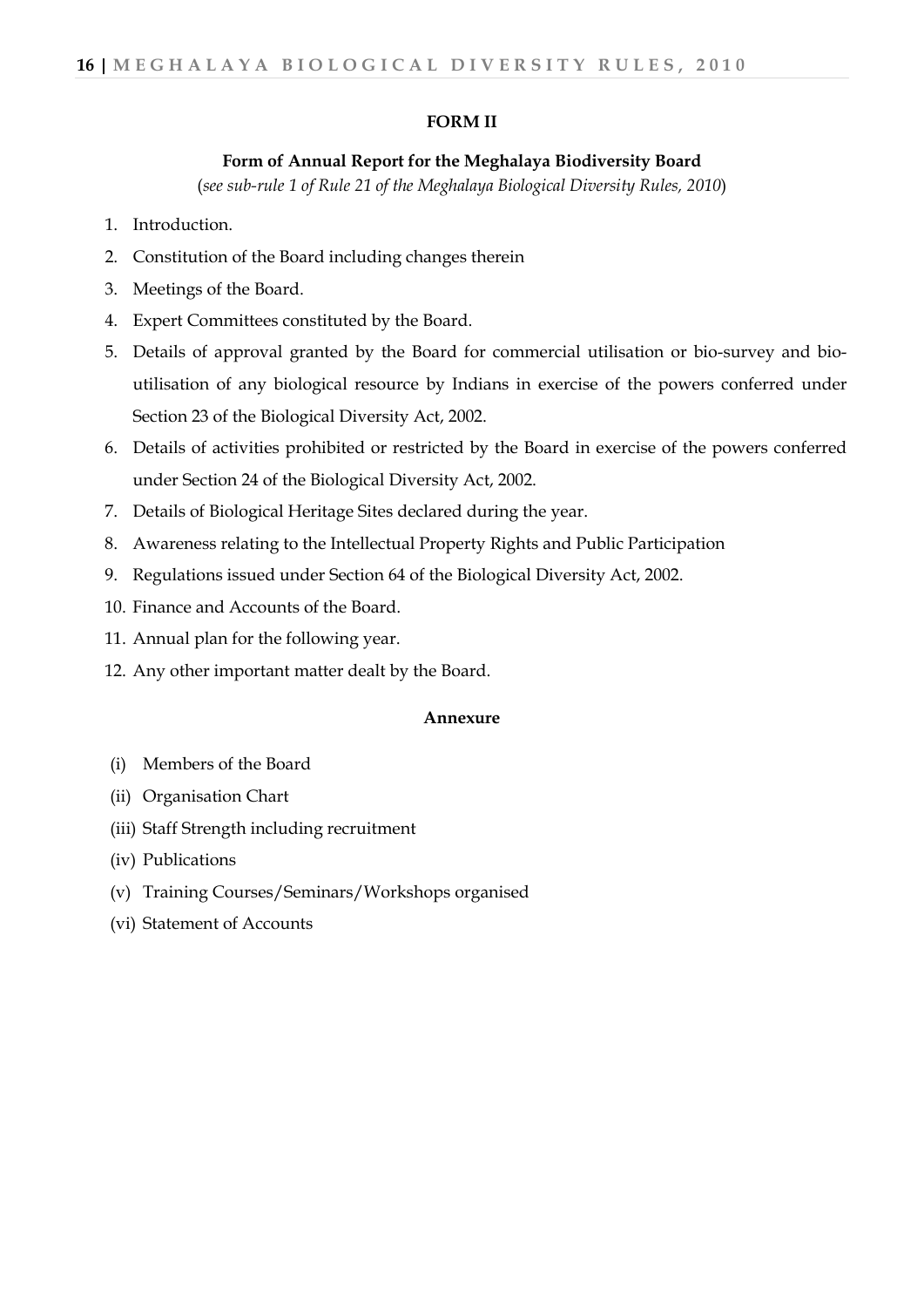#### **FORM II**

#### **Form of Annual Report for the Meghalaya Biodiversity Board**

(*see sub-rule 1 of Rule 21 of the Meghalaya Biological Diversity Rules, 2010*)

- 1. Introduction.
- 2. Constitution of the Board including changes therein
- 3. Meetings of the Board.
- 4. Expert Committees constituted by the Board.
- 5. Details of approval granted by the Board for commercial utilisation or bio-survey and bioutilisation of any biological resource by Indians in exercise of the powers conferred under Section 23 of the Biological Diversity Act, 2002.
- 6. Details of activities prohibited or restricted by the Board in exercise of the powers conferred under Section 24 of the Biological Diversity Act, 2002.
- 7. Details of Biological Heritage Sites declared during the year.
- 8. Awareness relating to the Intellectual Property Rights and Public Participation
- 9. Regulations issued under Section 64 of the Biological Diversity Act, 2002.
- 10. Finance and Accounts of the Board.
- 11. Annual plan for the following year.
- 12. Any other important matter dealt by the Board.

#### **Annexure**

- (i) Members of the Board
- (ii) Organisation Chart
- (iii) Staff Strength including recruitment
- (iv) Publications
- (v) Training Courses/Seminars/Workshops organised
- (vi) Statement of Accounts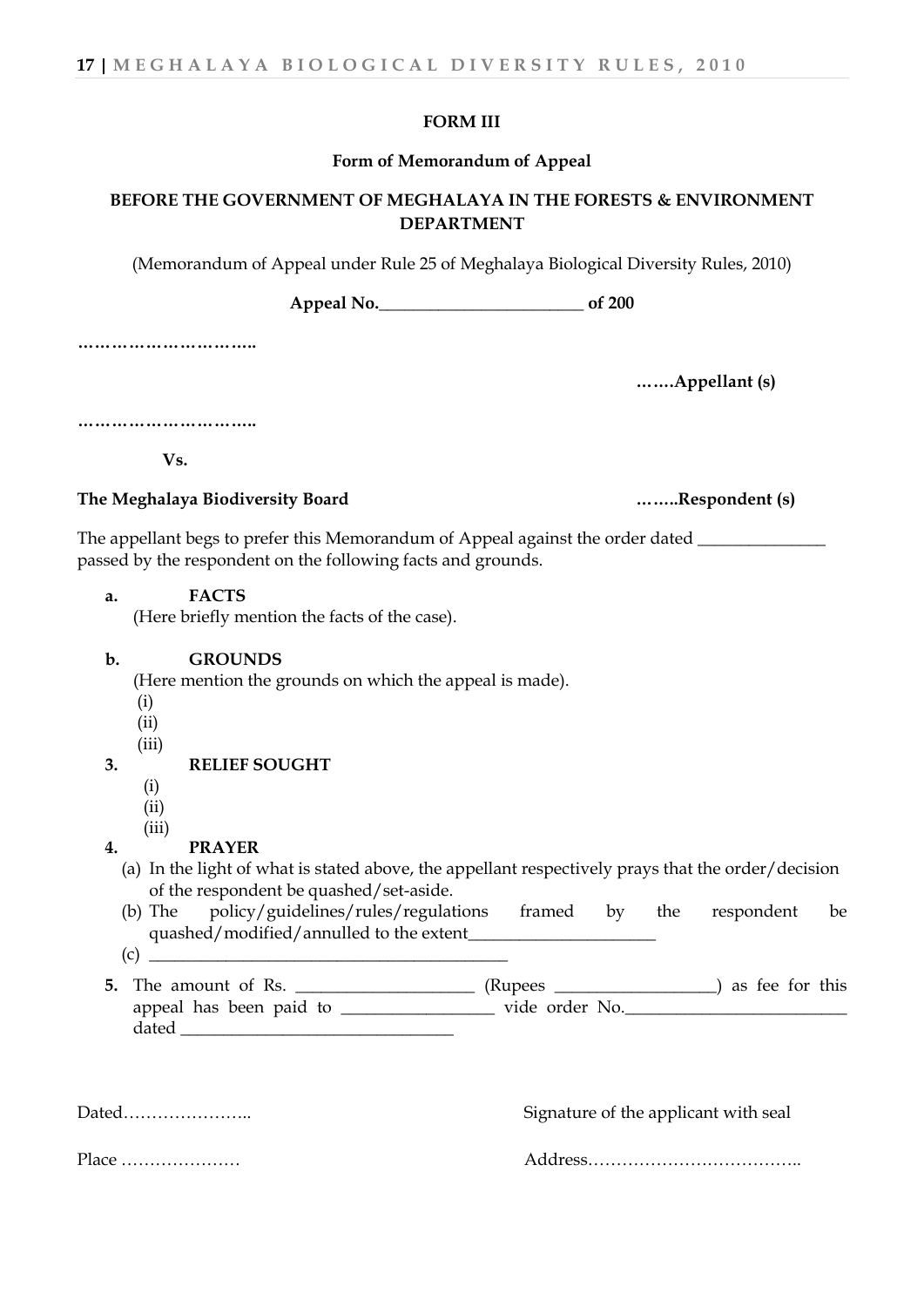#### **FORM III**

#### **Form of Memorandum of Appeal**

## **BEFORE THE GOVERNMENT OF MEGHALAYA IN THE FORESTS & ENVIRONMENT DEPARTMENT**

(Memorandum of Appeal under Rule 25 of Meghalaya Biological Diversity Rules, 2010)

**Appeal No.\_\_\_\_\_\_\_\_\_\_\_\_\_\_\_\_\_\_\_\_\_\_\_\_ of 200**

**…………………………..**

**…….Appellant (s)**

**…………………………..**

 **Vs.**

#### **The Meghalaya Biodiversity Board ……..Respondent (s)**

The appellant begs to prefer this Memorandum of Appeal against the order dated \_\_\_\_\_\_\_\_\_\_\_\_\_\_\_\_\_\_\_\_\_\_\_\_\_\_\_\_\_\_\_ passed by the respondent on the following facts and grounds.

**a. FACTS**

(Here briefly mention the facts of the case).

#### **b. GROUNDS**

(Here mention the grounds on which the appeal is made).

- (i)
- (ii)
- (iii)

#### **3. RELIEF SOUGHT**

- (i)
- (ii)
- (iii)

#### **4. PRAYER**

- (a) In the light of what is stated above, the appellant respectively prays that the order/decision of the respondent be quashed/set-aside.
- (b) The policy/guidelines/rules/regulations framed by the respondent be quashed/modified/annulled to the extent
- (c) \_\_\_\_\_\_\_\_\_\_\_\_\_\_\_\_\_\_\_\_\_\_\_\_\_\_\_\_\_\_\_\_\_\_\_\_\_\_\_\_\_\_
- **5.** The amount of Rs. \_\_\_\_\_\_\_\_\_\_\_\_\_\_\_\_\_\_\_\_\_ (Rupees \_\_\_\_\_\_\_\_\_\_\_\_\_\_\_\_) as fee for this appeal has been paid to \_\_\_\_\_\_\_\_\_\_\_\_\_\_\_\_\_\_ vide order No.\_\_\_\_\_\_\_\_\_\_\_\_\_\_\_\_\_\_\_\_\_\_\_\_\_\_ dated

Dated………………….. Signature of the applicant with seal

Place ………………… Address………………………………..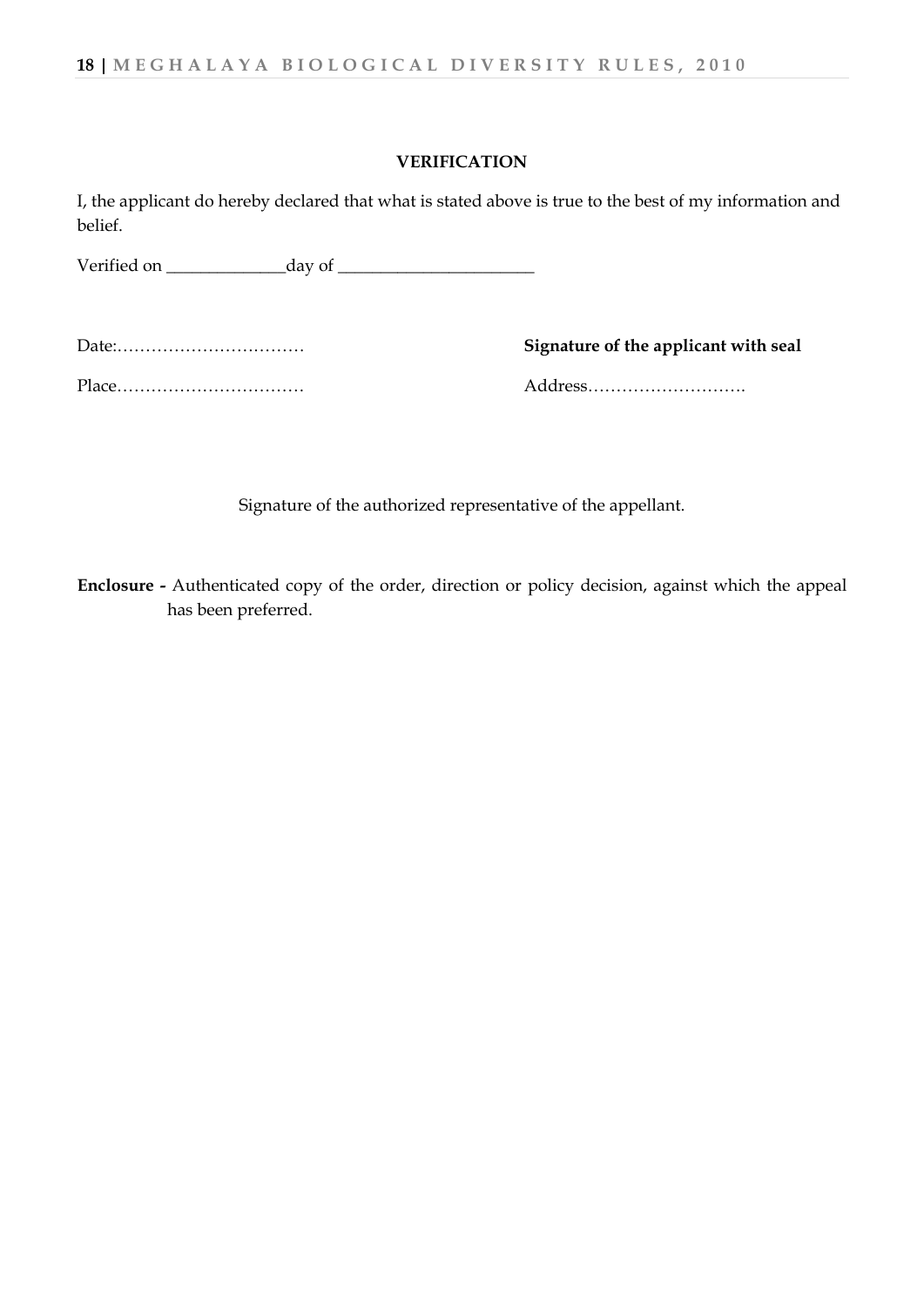#### **VERIFICATION**

I, the applicant do hereby declared that what is stated above is true to the best of my information and belief.

Verified on  $\qquad \qquad$  day of

Date:…………………………… **Signature of the applicant with seal**

Place…………………………… Address……………………….

Signature of the authorized representative of the appellant.

**Enclosure -** Authenticated copy of the order, direction or policy decision, against which the appeal has been preferred.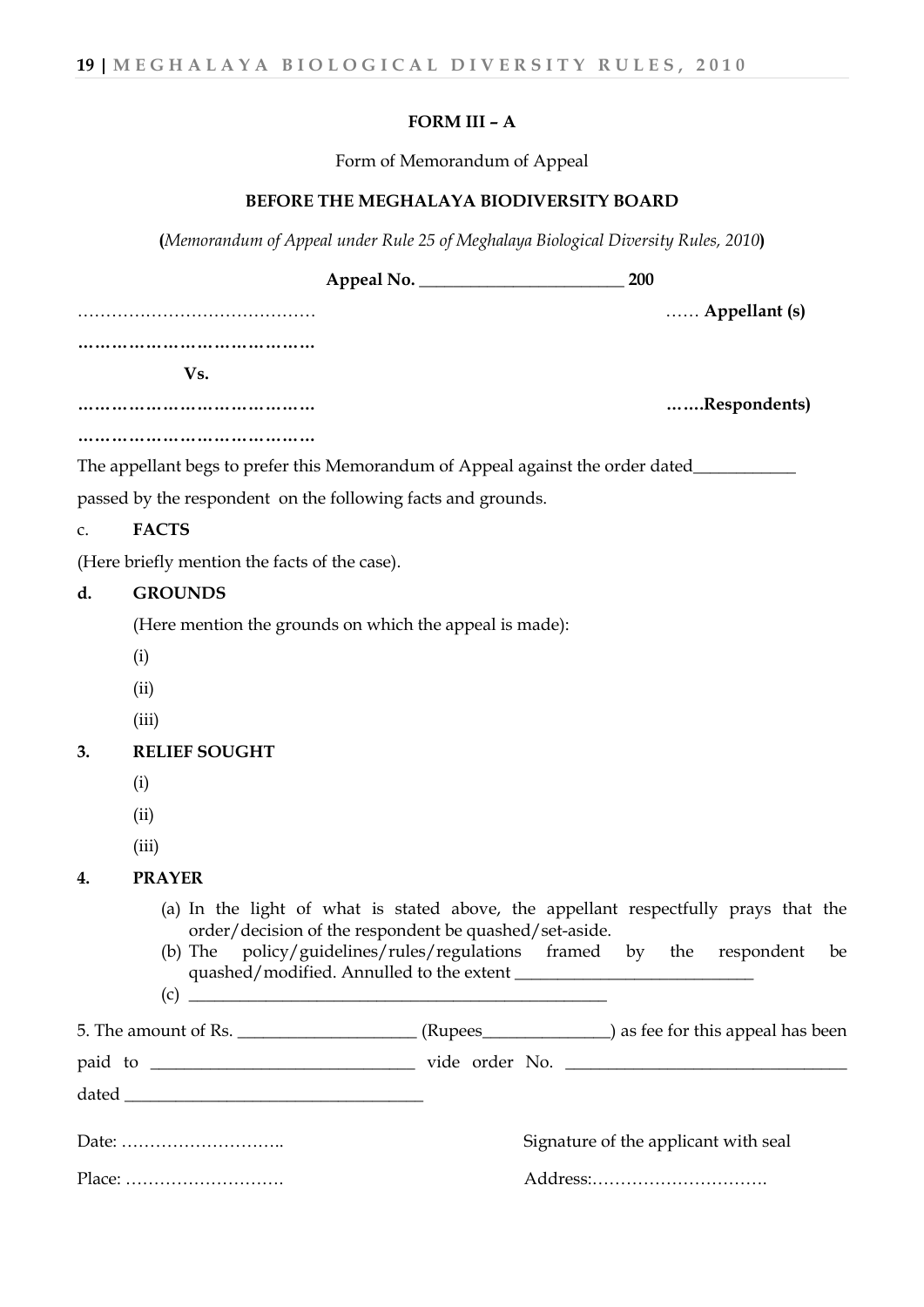## **FORM III – A**

Form of Memorandum of Appeal

## **BEFORE THE MEGHALAYA BIODIVERSITY BOARD**

**(***Memorandum of Appeal under Rule 25 of Meghalaya Biological Diversity Rules, 2010***)**

|    |                                                                                                                                                                                                                                                                                                                                                                                             |                                      | 200 |                          |    |
|----|---------------------------------------------------------------------------------------------------------------------------------------------------------------------------------------------------------------------------------------------------------------------------------------------------------------------------------------------------------------------------------------------|--------------------------------------|-----|--------------------------|----|
|    |                                                                                                                                                                                                                                                                                                                                                                                             |                                      |     | $\ldots$ . Appellant (s) |    |
|    | <br>Vs.                                                                                                                                                                                                                                                                                                                                                                                     |                                      |     |                          |    |
|    |                                                                                                                                                                                                                                                                                                                                                                                             |                                      |     | Respondents)             |    |
|    | The appellant begs to prefer this Memorandum of Appeal against the order dated__________                                                                                                                                                                                                                                                                                                    |                                      |     |                          |    |
|    | passed by the respondent on the following facts and grounds.                                                                                                                                                                                                                                                                                                                                |                                      |     |                          |    |
| c. | <b>FACTS</b>                                                                                                                                                                                                                                                                                                                                                                                |                                      |     |                          |    |
|    | (Here briefly mention the facts of the case).                                                                                                                                                                                                                                                                                                                                               |                                      |     |                          |    |
| d. | <b>GROUNDS</b>                                                                                                                                                                                                                                                                                                                                                                              |                                      |     |                          |    |
|    | (Here mention the grounds on which the appeal is made):                                                                                                                                                                                                                                                                                                                                     |                                      |     |                          |    |
|    | (i)                                                                                                                                                                                                                                                                                                                                                                                         |                                      |     |                          |    |
|    | (ii)                                                                                                                                                                                                                                                                                                                                                                                        |                                      |     |                          |    |
|    | (iii)                                                                                                                                                                                                                                                                                                                                                                                       |                                      |     |                          |    |
| 3. | <b>RELIEF SOUGHT</b>                                                                                                                                                                                                                                                                                                                                                                        |                                      |     |                          |    |
|    | (i)                                                                                                                                                                                                                                                                                                                                                                                         |                                      |     |                          |    |
|    | (ii)                                                                                                                                                                                                                                                                                                                                                                                        |                                      |     |                          |    |
|    | (iii)                                                                                                                                                                                                                                                                                                                                                                                       |                                      |     |                          |    |
| 4. | <b>PRAYER</b>                                                                                                                                                                                                                                                                                                                                                                               |                                      |     |                          |    |
|    | (a) In the light of what is stated above, the appellant respectfully prays that the<br>order/decision of the respondent be quashed/set-aside.<br>policy/guidelines/rules/regulations framed by the respondent<br>$(b)$ The                                                                                                                                                                  |                                      |     |                          | be |
|    | 5. The amount of Rs. ________________________(Rupees_______________) as fee for this appeal has been                                                                                                                                                                                                                                                                                        |                                      |     |                          |    |
|    |                                                                                                                                                                                                                                                                                                                                                                                             |                                      |     |                          |    |
|    | $\begin{picture}(150,10) \put(0,0){\dashbox{0.5}(10,0){ }} \put(15,0){\circle{10}} \put(15,0){\circle{10}} \put(15,0){\circle{10}} \put(15,0){\circle{10}} \put(15,0){\circle{10}} \put(15,0){\circle{10}} \put(15,0){\circle{10}} \put(15,0){\circle{10}} \put(15,0){\circle{10}} \put(15,0){\circle{10}} \put(15,0){\circle{10}} \put(15,0){\circle{10}} \put(15,0){\circle{10}} \put(15$ |                                      |     |                          |    |
|    |                                                                                                                                                                                                                                                                                                                                                                                             | Signature of the applicant with seal |     |                          |    |
|    |                                                                                                                                                                                                                                                                                                                                                                                             |                                      |     |                          |    |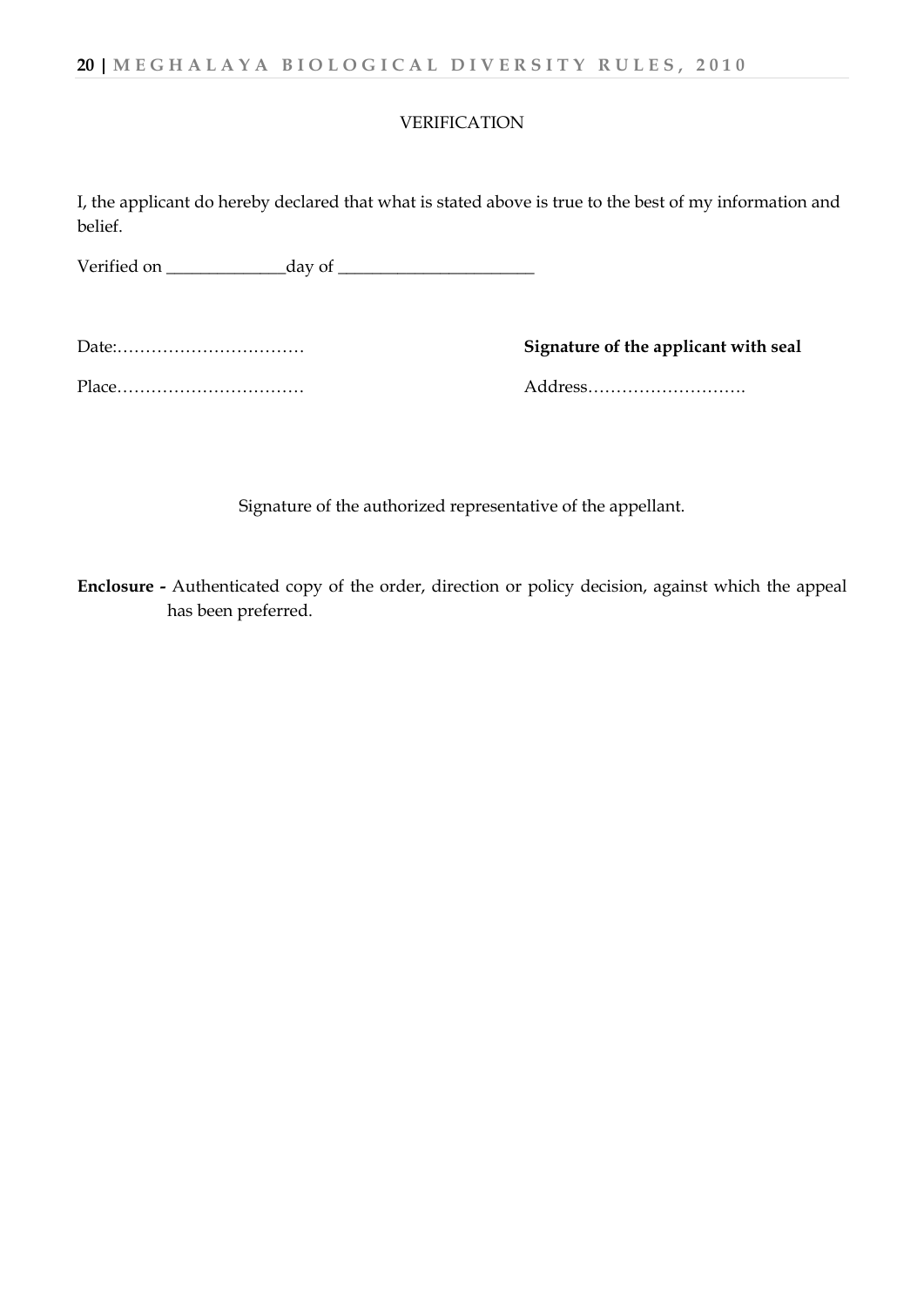#### VERIFICATION

I, the applicant do hereby declared that what is stated above is true to the best of my information and belief.

Verified on \_\_\_\_\_\_\_\_\_\_\_\_\_\_day of \_\_\_\_\_\_\_\_\_\_\_\_\_\_\_\_\_\_\_\_\_\_\_

|       | Signature of the applicant with seal |
|-------|--------------------------------------|
| Place | Address                              |

Signature of the authorized representative of the appellant.

**Enclosure -** Authenticated copy of the order, direction or policy decision, against which the appeal has been preferred.